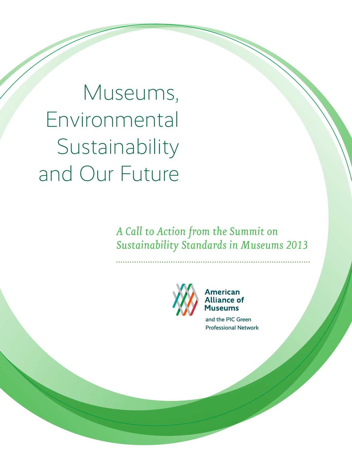Museums, Environmental Sustainability and Our Future

> *A Call to Action from the Summit on Sustainability Standards in Museums 2013*



**American Alliance of Museums** 

and the PIC Green Professional Network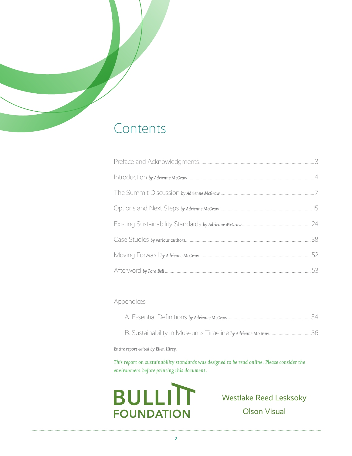# Contents

## Appendices

*Entire report edited by Ellen Hirzy.*

*This report on sustainability standards was designed to be read online. Please consider the environment before printing this document.*



Westlake Reed Lesksoky Olson Visual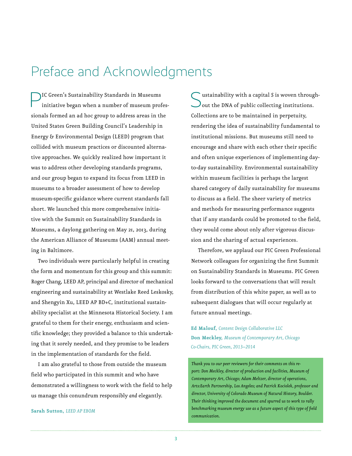# Preface and Acknowledgments

IC Green's Sustainability Standards in Museums initiative began when a number of museum professionals formed an ad hoc group to address areas in the United States Green Building Council's Leadership in Energy & Environmental Design (LEED) program that collided with museum practices or discounted alternative approaches. We quickly realized how important it was to address other developing standards programs, and our group began to expand its focus from LEED in museums to a broader assessment of how to develop museum-specific guidance where current standards fall short. We launched this more comprehensive initiative with the Summit on Sustainability Standards in Museums, a daylong gathering on May 21, 2013, during the American Alliance of Museums (AAM) annual meeting in Baltimore.

Two individuals were particularly helpful in creating the form and momentum for this group and this summit: Roger Chang, LEED AP, principal and director of mechanical engineering and sustainability at Westlake Reed Leskosky, and Shengyin Xu, LEED AP BD+C, institutional sustainability specialist at the Minnesota Historical Society. I am grateful to them for their energy, enthusiasm and scientific knowledge; they provided a balance to this undertaking that it sorely needed, and they promise to be leaders in the implementation of standards for the field.

I am also grateful to those from outside the museum field who participated in this summit and who have demonstrated a willingness to work with the field to help us manage this conundrum responsibly *and* elegantly.

#### **Sarah Sutton,** *LEED AP EBOM*

ustainability with a capital *S* is woven through-) out the DNA of public collecting institutions. Collections are to be maintained in perpetuity, rendering the idea of sustainability fundamental to institutional missions. But museums still need to encourage and share with each other their specific and often unique experiences of implementing dayto-day sustainability. Environmental sustainability within museum facilities is perhaps the largest shared category of daily sustainability for museums to discuss as a field. The sheer variety of metrics and methods for measuring performance suggests that if any standards could be promoted to the field, they would come about only after vigorous discussion and the sharing of actual experiences.

Therefore, we applaud our PIC Green Professional Network colleagues for organizing the first Summit on Sustainability Standards in Museums. PIC Green looks forward to the conversations that will result from distribution of this white paper, as well as to subsequent dialogues that will occur regularly at future annual meetings.

**Ed Malouf,** *Content Design Collaborative LLC* **Don Meckley,** *Museum of Contemporary Art, Chicago Co-Chairs, PIC Green, 2013–2014*

*Thank you to our peer reviewers for their comments on this report: Don Meckley, director of production and facilities, Museum of Contemporary Art, Chicago; Adam Meltzer, director of operations, Arts:Earth Partnership, Los Angeles; and Patrick Kociolek, professor and director, University of Colorado Museum of Natural History, Boulder. Their thinking improved the document and spurred us to work to rally benchmarking museum energy use as a future aspect of this type of field communication.*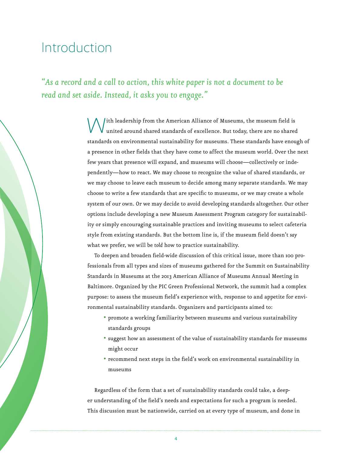# Introduction

*"As a record and a call to action, this white paper is not a document to be read and set aside. Instead, it asks you to engage."*

> $\int$ ith leadership from the American Alliance of Museums, the museum field is united around shared standards of excellence. But today, there are no shared standards on environmental sustainability for museums. These standards have enough of a presence in other fields that they have come to affect the museum world. Over the next few years that presence will expand, and museums will choose—collectively or independently—how to react. We may choose to recognize the value of shared standards, or we may choose to leave each museum to decide among many separate standards. We may choose to write a few standards that are specific to museums, or we may create a whole system of our own. Or we may decide to avoid developing standards altogether. Our other options include developing a new Museum Assessment Program category for sustainability or simply encouraging sustainable practices and inviting museums to select cafeteria style from existing standards. But the bottom line is, if the museum field doesn't *say*  what we prefer, we will be *told* how to practice sustainability.

> To deepen and broaden field-wide discussion of this critical issue, more than 100 professionals from all types and sizes of museums gathered for the Summit on Sustainability Standards in Museums at the 2013 American Alliance of Museums Annual Meeting in Baltimore. Organized by the PIC Green Professional Network, the summit had a complex purpose: to assess the museum field's experience with, response to and appetite for environmental sustainability standards. Organizers and participants aimed to:

- promote a working familiarity between museums and various sustainability standards groups
- suggest how an assessment of the value of sustainability standards for museums might occur
- recommend next steps in the field's work on environmental sustainability in museums

Regardless of the form that a set of sustainability standards could take, a deeper understanding of the field's needs and expectations for such a program is needed. This discussion must be nationwide, carried on at every type of museum, and done in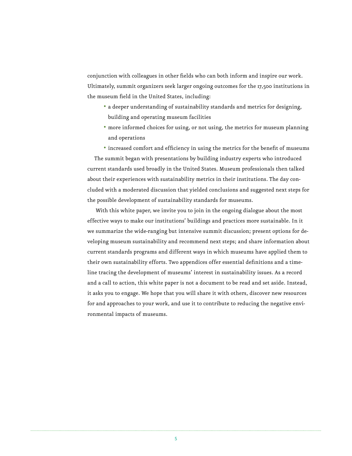conjunction with colleagues in other fields who can both inform and inspire our work. Ultimately, summit organizers seek larger ongoing outcomes for the 17,500 institutions in the museum field in the United States, including:

- a deeper understanding of sustainability standards and metrics for designing, building and operating museum facilities
- more informed choices for using, or not using, the metrics for museum planning and operations
- increased comfort and efficiency in using the metrics for the benefit of museums

The summit began with presentations by building industry experts who introduced current standards used broadly in the United States. Museum professionals then talked about their experiences with sustainability metrics in their institutions. The day concluded with a moderated discussion that yielded conclusions and suggested next steps for the possible development of sustainability standards for museums.

 With this white paper, we invite you to join in the ongoing dialogue about the most effective ways to make our institutions' buildings and practices more sustainable. In it we summarize the wide-ranging but intensive summit discussion; present options for developing museum sustainability and recommend next steps; and share information about current standards programs and different ways in which museums have applied them to their own sustainability efforts. Two appendices offer essential definitions and a timeline tracing the development of museums' interest in sustainability issues. As a record and a call to action, this white paper is not a document to be read and set aside. Instead, it asks you to engage. We hope that you will share it with others, discover new resources for and approaches to your work, and use it to contribute to reducing the negative environmental impacts of museums.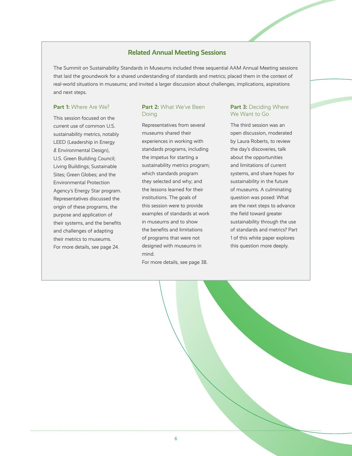#### **Related Annual Meeting Sessions**

The Summit on Sustainability Standards in Museums included three sequential AAM Annual Meeting sessions that laid the groundwork for a shared understanding of standards and metrics; placed them in the context of real-world situations in museums; and invited a larger discussion about challenges, implications, aspirations and next steps.

#### **Part 1:** Where Are We?

This session focused on the current use of common U.S. sustainability metrics, notably LEED (Leadership in Energy & Environmental Design), U.S. Green Building Council; Living Buildings; Sustainable Sites; Green Globes; and the Environmental Protection Agency's Energy Star program. Representatives discussed the origin of these programs, the purpose and application of their systems, and the benefits and challenges of adapting their metrics to museums. For more details, see page 24.

#### Part 2: What We've Been **Doing**

Representatives from several museums shared their experiences in working with standards programs, including the impetus for starting a sustainability metrics program; which standards program they selected and why; and the lessons learned for their institutions. The goals of this session were to provide examples of standards at work in museums and to show the benefits and limitations of programs that were not designed with museums in mind.

For more details, see page 38.

#### **Part 3: Deciding Where** We Want to Go

The third session was an open discussion, moderated by Laura Roberts, to review the day's discoveries, talk about the opportunities and limitations of current systems, and share hopes for sustainability in the future of museums. A culminating question was posed: What are the next steps to advance the field toward greater sustainability through the use of standards and metrics? Part 1 of this white paper explores this question more deeply.

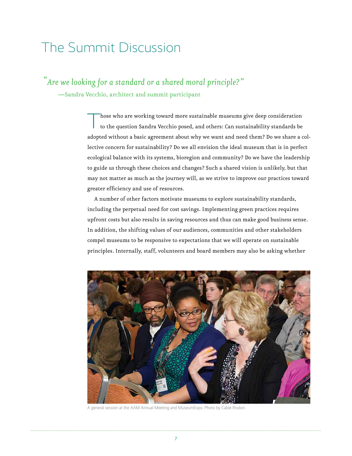# The Summit Discussion

 *"Are we looking for a standard or a shared moral principle?"* 

—Sandra Vecchio, architect and summit participant

Those who are working toward more sustainable museums give deep consideration<br>to the question Sandra Vecchio posed, and others: Can sustainability standards be adopted without a basic agreement about why we want and need them? Do we share a collective concern for sustainability? Do we all envision the ideal museum that is in perfect ecological balance with its systems, bioregion and community? Do we have the leadership to guide us through these choices and changes? Such a shared vision is unlikely, but that may not matter as much as the journey will, as we strive to improve our practices toward greater efficiency and use of resources.

A number of other factors motivate museums to explore sustainability standards, including the perpetual need for cost savings. Implementing green practices requires upfront costs but also results in saving resources and thus can make good business sense. In addition, the shifting values of our audiences, communities and other stakeholders compel museums to be responsive to expectations that we will operate on sustainable principles. Internally, staff, volunteers and board members may also be asking whether



A general session at the AAM Annual Meeting and MuseumExpo. Photo by Cable Risdon.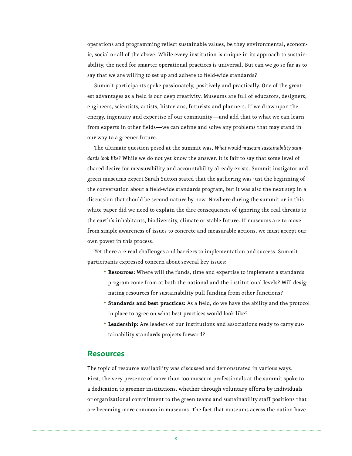operations and programming reflect sustainable values, be they environmental, economic, social or all of the above. While every institution is unique in its approach to sustainability, the need for smarter operational practices is universal. But can we go so far as to say that we are willing to set up and adhere to field-wide standards?

Summit participants spoke passionately, positively and practically. One of the greatest advantages as a field is our deep creativity. Museums are full of educators, designers, engineers, scientists, artists, historians, futurists and planners. If we draw upon the energy, ingenuity and expertise of our community—and add that to what we can learn from experts in other fields—we can define and solve any problems that may stand in our way to a greener future.

The ultimate question posed at the summit was, *What would museum sustainability standards look like?* While we do not yet know the answer, it is fair to say that some level of shared desire for measurability and accountability already exists. Summit instigator and green museums expert Sarah Sutton stated that the gathering was just the beginning of the conversation about a field-wide standards program, but it was also the next step in a discussion that should be second nature by now. Nowhere during the summit or in this white paper did we need to explain the dire consequences of ignoring the real threats to the earth's inhabitants, biodiversity, climate or stable future. If museums are to move from simple awareness of issues to concrete and measurable actions, we must accept our own power in this process.

Yet there are real challenges and barriers to implementation and success. Summit participants expressed concern about several key issues:

- **Resources:** Where will the funds, time and expertise to implement a standards program come from at both the national and the institutional levels? Will designating resources for sustainability pull funding from other functions?
- **Standards and best practices:** As a field, do we have the ability and the protocol in place to agree on what best practices would look like?
- **Leadership:** Are leaders of our institutions and associations ready to carry sustainability standards projects forward?

#### **Resources**

The topic of resource availability was discussed and demonstrated in various ways. First, the very presence of more than 100 museum professionals at the summit spoke to a dedication to greener institutions, whether through voluntary efforts by individuals or organizational commitment to the green teams and sustainability staff positions that are becoming more common in museums. The fact that museums across the nation have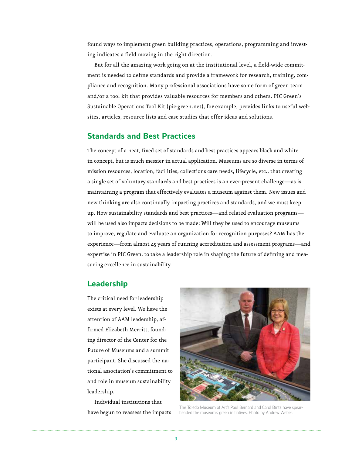found ways to implement green building practices, operations, programming and investing indicates a field moving in the right direction.

But for all the amazing work going on at the institutional level, a field-wide commitment is needed to define standards and provide a framework for research, training, compliance and recognition. Many professional associations have some form of green team and/or a tool kit that provides valuable resources for members and others. PIC Green's Sustainable Operations Tool Kit (pic-green.net), for example, provides links to useful websites, articles, resource lists and case studies that offer ideas and solutions.

## **Standards and Best Practices**

The concept of a neat, fixed set of standards and best practices appears black and white in concept, but is much messier in actual application. Museums are so diverse in terms of mission resources, location, facilities, collections care needs, lifecycle, etc., that creating a single set of voluntary standards and best practices is an ever-present challenge—as is maintaining a program that effectively evaluates a museum against them. New issues and new thinking are also continually impacting practices and standards, and we must keep up. How sustainability standards and best practices—and related evaluation programs will be used also impacts decisions to be made: Will they be used to encourage museums to improve, regulate and evaluate an organization for recognition purposes? AAM has the experience—from almost 45 years of running accreditation and assessment programs—and expertise in PIC Green, to take a leadership role in shaping the future of defining and measuring excellence in sustainability.

## **Leadership**

The critical need for leadership exists at every level. We have the attention of AAM leadership, affirmed Elizabeth Merritt, founding director of the Center for the Future of Museums and a summit participant. She discussed the national association's commitment to and role in museum sustainability leadership.

Individual institutions that have begun to reassess the impacts



The Toledo Museum of Art's Paul Bernard and Carol Bintz have spearheaded the museum's green initiatives. Photo by Andrew Weber.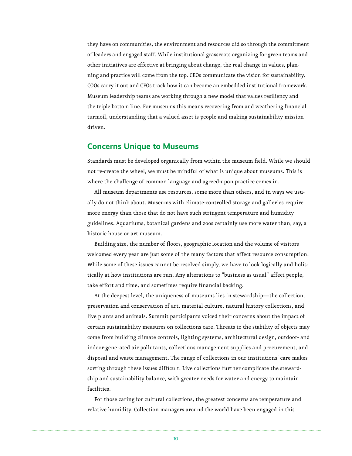they have on communities, the environment and resources did so through the commitment of leaders and engaged staff. While institutional grassroots organizing for green teams and other initiatives are effective at bringing about change, the real change in values, planning and practice will come from the top. CEOs communicate the vision for sustainability, COOs carry it out and CFOs track how it can become an embedded institutional framework. Museum leadership teams are working through a new model that values resiliency and the triple bottom line. For museums this means recovering from and weathering financial turmoil, understanding that a valued asset is people and making sustainability mission driven.

#### **Concerns Unique to Museums**

Standards must be developed organically from within the museum field. While we should not re-create the wheel, we must be mindful of what is unique about museums. This is where the challenge of common language and agreed-upon practice comes in.

All museum departments use resources, some more than others, and in ways we usually do not think about. Museums with climate-controlled storage and galleries require more energy than those that do not have such stringent temperature and humidity guidelines. Aquariums, botanical gardens and zoos certainly use more water than, say, a historic house or art museum.

Building size, the number of floors, geographic location and the volume of visitors welcomed every year are just some of the many factors that affect resource consumption. While some of these issues cannot be resolved simply, we have to look logically and holistically at how institutions are run. Any alterations to "business as usual" affect people, take effort and time, and sometimes require financial backing.

At the deepest level, the uniqueness of museums lies in stewardship—the collection, preservation and conservation of art, material culture, natural history collections, and live plants and animals. Summit participants voiced their concerns about the impact of certain sustainability measures on collections care. Threats to the stability of objects may come from building climate controls, lighting systems, architectural design, outdoor- and indoor-generated air pollutants, collections management supplies and procurement, and disposal and waste management. The range of collections in our institutions' care makes sorting through these issues difficult. Live collections further complicate the stewardship and sustainability balance, with greater needs for water and energy to maintain facilities.

For those caring for cultural collections, the greatest concerns are temperature and relative humidity. Collection managers around the world have been engaged in this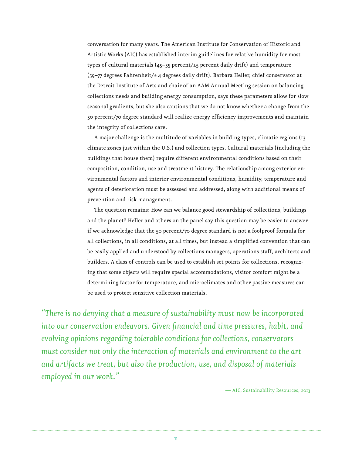conversation for many years. The American Institute for Conservation of Historic and Artistic Works (AIC) has established interim guidelines for relative humidity for most types of cultural materials  $(45-55$  percent/ $\pm$ 5 percent daily drift) and temperature (59–77 degrees Fahrenheit/± 4 degrees daily drift). Barbara Heller, chief conservator at the Detroit Institute of Arts and chair of an AAM Annual Meeting session on balancing collections needs and building energy consumption, says these parameters allow for slow seasonal gradients, but she also cautions that we do not know whether a change from the 50 percent/70 degree standard will realize energy efficiency improvements and maintain the integrity of collections care.

A major challenge is the multitude of variables in building types, climatic regions (13 climate zones just within the U.S.) and collection types. Cultural materials (including the buildings that house them) require different environmental conditions based on their composition, condition, use and treatment history. The relationship among exterior environmental factors and interior environmental conditions, humidity, temperature and agents of deterioration must be assessed and addressed, along with additional means of prevention and risk management.

The question remains: How can we balance good stewardship of collections, buildings and the planet? Heller and others on the panel say this question may be easier to answer if we acknowledge that the 50 percent/70 degree standard is not a foolproof formula for all collections, in all conditions, at all times, but instead a simplified convention that can be easily applied and understood by collections managers, operations staff, architects and builders. A class of controls can be used to establish set points for collections, recognizing that some objects will require special accommodations, visitor comfort might be a determining factor for temperature, and microclimates and other passive measures can be used to protect sensitive collection materials.

*"There is no denying that a measure of sustainability must now be incorporated into our conservation endeavors. Given financial and time pressures, habit, and evolving opinions regarding tolerable conditions for collections, conservators must consider not only the interaction of materials and environment to the art and artifacts we treat, but also the production, use, and disposal of materials employed in our work."*

— AIC, Sustainability Resources, 2013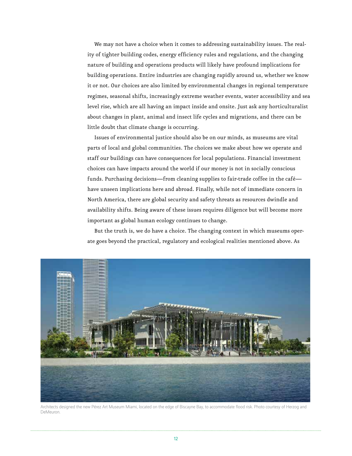We may not have a choice when it comes to addressing sustainability issues. The reality of tighter building codes, energy efficiency rules and regulations, and the changing nature of building and operations products will likely have profound implications for building operations. Entire industries are changing rapidly around us, whether we know it or not. Our choices are also limited by environmental changes in regional temperature regimes, seasonal shifts, increasingly extreme weather events, water accessibility and sea level rise, which are all having an impact inside and onsite. Just ask any horticulturalist about changes in plant, animal and insect life cycles and migrations, and there can be little doubt that climate change is occurring.

Issues of environmental justice should also be on our minds, as museums are vital parts of local and global communities. The choices we make about how we operate and staff our buildings can have consequences for local populations. Financial investment choices can have impacts around the world if our money is not in socially conscious funds. Purchasing decisions—from cleaning supplies to fair-trade coffee in the café have unseen implications here and abroad. Finally, while not of immediate concern in North America, there are global security and safety threats as resources dwindle and availability shifts. Being aware of these issues requires diligence but will become more important as global human ecology continues to change.

But the truth is, we do have a choice. The changing context in which museums operate goes beyond the practical, regulatory and ecological realities mentioned above. As



Architects designed the new Pérez Art Museum Miami, located on the edge of Biscayne Bay, to accommodate flood risk. Photo courtesy of Herzog and DeMeuron.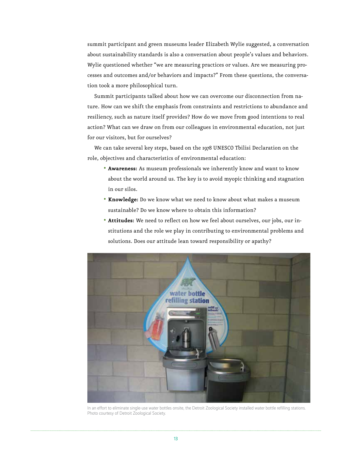summit participant and green museums leader Elizabeth Wylie suggested, a conversation about sustainability standards is also a conversation about people's values and behaviors. Wylie questioned whether "we are measuring practices or values. Are we measuring processes and outcomes and/or behaviors and impacts?" From these questions, the conversation took a more philosophical turn.

Summit participants talked about how we can overcome our disconnection from nature. How can we shift the emphasis from constraints and restrictions to abundance and resiliency, such as nature itself provides? How do we move from good intentions to real action? What can we draw on from our colleagues in environmental education, not just for our visitors, but for ourselves?

We can take several key steps, based on the 1978 UNESCO Tbilisi Declaration on the role, objectives and characteristics of environmental education:

- **Awareness:** As museum professionals we inherently know and want to know about the world around us. The key is to avoid myopic thinking and stagnation in our silos.
- **Knowledge:** Do we know what we need to know about what makes a museum sustainable? Do we know where to obtain this information?
- **Attitudes:** We need to reflect on how we feel about ourselves, our jobs, our institutions and the role we play in contributing to environmental problems and solutions. Does our attitude lean toward responsibility or apathy?



In an effort to eliminate single-use water bottles onsite, the Detroit Zoological Society installed water bottle refilling stations. Photo courtesy of Detroit Zoological Society.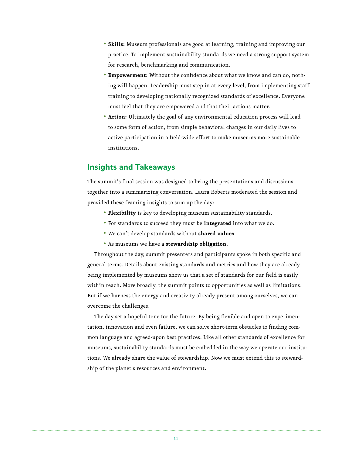- **Skills:** Museum professionals are good at learning, training and improving our practice. To implement sustainability standards we need a strong support system for research, benchmarking and communication.
- **Empowerment:** Without the confidence about what we know and can do, nothing will happen. Leadership must step in at every level, from implementing staff training to developing nationally recognized standards of excellence. Everyone must feel that they are empowered and that their actions matter.
- **Action:** Ultimately the goal of any environmental education process will lead to some form of action, from simple behavioral changes in our daily lives to active participation in a field-wide effort to make museums more sustainable institutions.

### **Insights and Takeaways**

The summit's final session was designed to bring the presentations and discussions together into a summarizing conversation. Laura Roberts moderated the session and provided these framing insights to sum up the day:

- **Flexibility** is key to developing museum sustainability standards.
- For standards to succeed they must be **integrated** into what we do.
- We can't develop standards without **shared values**.
- As museums we have a **stewardship obligation**.

Throughout the day, summit presenters and participants spoke in both specific and general terms. Details about existing standards and metrics and how they are already being implemented by museums show us that a set of standards for our field is easily within reach. More broadly, the summit points to opportunities as well as limitations. But if we harness the energy and creativity already present among ourselves, we can overcome the challenges.

The day set a hopeful tone for the future. By being flexible and open to experimentation, innovation and even failure, we can solve short-term obstacles to finding common language and agreed-upon best practices. Like all other standards of excellence for museums, sustainability standards must be embedded in the way we operate our institutions. We already share the value of stewardship. Now we must extend this to stewardship of the planet's resources and environment.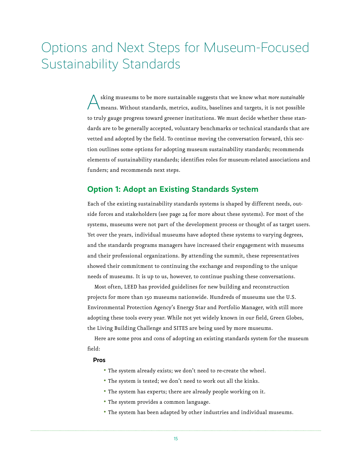# Options and Next Steps for Museum-Focused Sustainability Standards

Asking museums to be more sustainable suggests that we know what *more sustainable* means. Without standards, metrics, audits, baselines and targets, it is not possible to truly gauge progress toward greener institutions. We must decide whether these standards are to be generally accepted, voluntary benchmarks or technical standards that are vetted and adopted by the field. To continue moving the conversation forward, this section outlines some options for adopting museum sustainability standards; recommends elements of sustainability standards; identifies roles for museum-related associations and funders; and recommends next steps.

### **Option 1: Adopt an Existing Standards System**

Each of the existing sustainability standards systems is shaped by different needs, outside forces and stakeholders (see page 24 for more about these systems). For most of the systems, museums were not part of the development process or thought of as target users. Yet over the years, individual museums have adopted these systems to varying degrees, and the standards programs managers have increased their engagement with museums and their professional organizations. By attending the summit, these representatives showed their commitment to continuing the exchange and responding to the unique needs of museums. It is up to us, however, to continue pushing these conversations.

Most often, LEED has provided guidelines for new building and reconstruction projects for more than 150 museums nationwide. Hundreds of museums use the U.S. Environmental Protection Agency's Energy Star and Portfolio Manager, with still more adopting these tools every year. While not yet widely known in our field, Green Globes, the Living Building Challenge and SITES are being used by more museums.

Here are some pros and cons of adopting an existing standards system for the museum field:

#### **Pros**

- The system already exists; we don't need to re-create the wheel.
- The system is tested; we don't need to work out all the kinks.
- The system has experts; there are already people working on it.
- The system provides a common language.
- The system has been adapted by other industries and individual museums.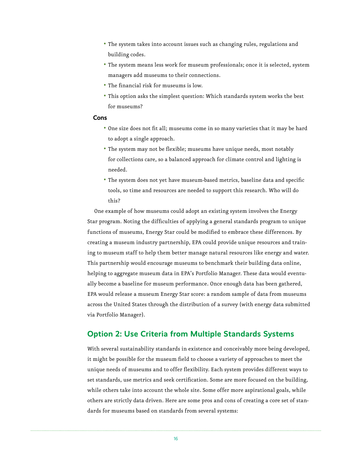- The system takes into account issues such as changing rules, regulations and building codes.
- The system means less work for museum professionals; once it is selected, system managers add museums to their connections.
- The financial risk for museums is low.
- This option asks the simplest question: Which standards system works the best for museums?

#### **Cons**

- One size does not fit all; museums come in so many varieties that it may be hard to adopt a single approach.
- The system may not be flexible; museums have unique needs, most notably for collections care, so a balanced approach for climate control and lighting is needed.
- The system does not yet have museum-based metrics, baseline data and specific tools, so time and resources are needed to support this research. Who will do this?

One example of how museums could adopt an existing system involves the Energy Star program. Noting the difficulties of applying a general standards program to unique functions of museums, Energy Star could be modified to embrace these differences. By creating a museum industry partnership, EPA could provide unique resources and training to museum staff to help them better manage natural resources like energy and water. This partnership would encourage museums to benchmark their building data online, helping to aggregate museum data in EPA's Portfolio Manager. These data would eventually become a baseline for museum performance. Once enough data has been gathered, EPA would release a museum Energy Star score: a random sample of data from museums across the United States through the distribution of a survey (with energy data submitted via Portfolio Manager).

## **Option 2: Use Criteria from Multiple Standards Systems**

With several sustainability standards in existence and conceivably more being developed, it might be possible for the museum field to choose a variety of approaches to meet the unique needs of museums and to offer flexibility. Each system provides different ways to set standards, use metrics and seek certification. Some are more focused on the building, while others take into account the whole site. Some offer more aspirational goals, while others are strictly data driven. Here are some pros and cons of creating a core set of standards for museums based on standards from several systems: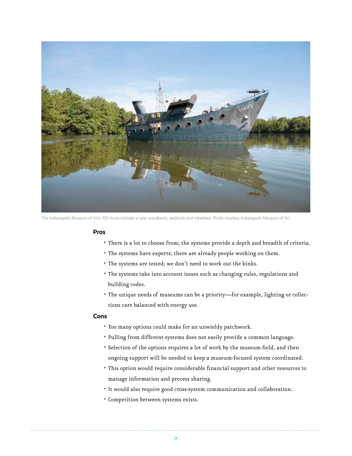

The Indianapolis Museum of Art's 100 Acres includes a lake, woodlands, wetlands and meadows. Photo courtesy Indianapolis Museum of Art.

#### **Pros**

- There is a lot to choose from; the systems provide a depth and breadth of criteria.
- The systems have experts; there are already people working on them.
- The systems are tested; we don't need to work out the kinks.
- The systems take into account issues such as changing rules, regulations and building codes.
- The unique needs of museums can be a priority—for example, lighting or collections care balanced with energy use.

#### **Cons**

- Too many options could make for an unwieldy patchwork.
- Pulling from different systems does not easily provide a common language.
- Selection of the options requires a lot of work by the museum field, and then ongoing support will be needed to keep a museum-focused system coordinated.
- This option would require considerable financial support and other resources to manage information and process sharing.
- It would also require good cross-system communication and collaboration.
- Competition between systems exists.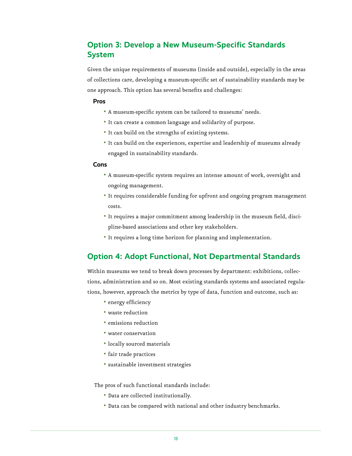# **Option 3: Develop a New Museum-Specific Standards System**

Given the unique requirements of museums (inside and outside), especially in the areas of collections care, developing a museum-specific set of sustainability standards may be one approach. This option has several benefits and challenges:

#### **Pros**

- A museum-specific system can be tailored to museums' needs.
- It can create a common language and solidarity of purpose.
- It can build on the strengths of existing systems.
- It can build on the experiences, expertise and leadership of museums already engaged in sustainability standards.

#### **Cons**

- A museum-specific system requires an intense amount of work, oversight and ongoing management.
- It requires considerable funding for upfront and ongoing program management costs.
- It requires a major commitment among leadership in the museum field, discipline-based associations and other key stakeholders.
- It requires a long time horizon for planning and implementation.

## **Option 4: Adopt Functional, Not Departmental Standards**

Within museums we tend to break down processes by department: exhibitions, collections, administration and so on. Most existing standards systems and associated regulations, however, approach the metrics by type of data, function and outcome, such as:

- energy efficiency
- waste reduction
- emissions reduction
- water conservation
- locally sourced materials
- fair trade practices
- sustainable investment strategies

The pros of such functional standards include:

- Data are collected institutionally.
- Data can be compared with national and other industry benchmarks.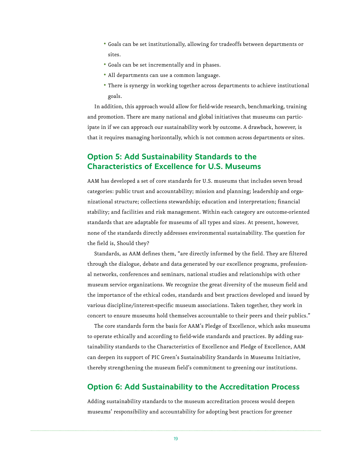- Goals can be set institutionally, allowing for tradeoffs between departments or sites.
- Goals can be set incrementally and in phases.
- All departments can use a common language.
- There is synergy in working together across departments to achieve institutional goals.

In addition, this approach would allow for field-wide research, benchmarking, training and promotion. There are many national and global initiatives that museums can participate in if we can approach our sustainability work by outcome. A drawback, however, is that it requires managing horizontally, which is not common across departments or sites.

## **Option 5: Add Sustainability Standards to the Characteristics of Excellence for U.S. Museums**

AAM has developed a set of core standards for U.S. museums that includes seven broad categories: public trust and accountability; mission and planning; leadership and organizational structure; collections stewardship; education and interpretation; financial stability; and facilities and risk management. Within each category are outcome-oriented standards that are adaptable for museums of all types and sizes. At present, however, none of the standards directly addresses environmental sustainability. The question for the field is, Should they?

Standards, as AAM defines them, "are directly informed by the field. They are filtered through the dialogue, debate and data generated by our excellence programs, professional networks, conferences and seminars, national studies and relationships with other museum service organizations. We recognize the great diversity of the museum field and the importance of the ethical codes, standards and best practices developed and issued by various discipline/interest-specific museum associations. Taken together, they work in concert to ensure museums hold themselves accountable to their peers and their publics."

The core standards form the basis for AAM's Pledge of Excellence, which asks museums to operate ethically and according to field-wide standards and practices. By adding sustainability standards to the Characteristics of Excellence and Pledge of Excellence, AAM can deepen its support of PIC Green's Sustainability Standards in Museums Initiative, thereby strengthening the museum field's commitment to greening our institutions.

## **Option 6: Add Sustainability to the Accreditation Process**

Adding sustainability standards to the museum accreditation process would deepen museums' responsibility and accountability for adopting best practices for greener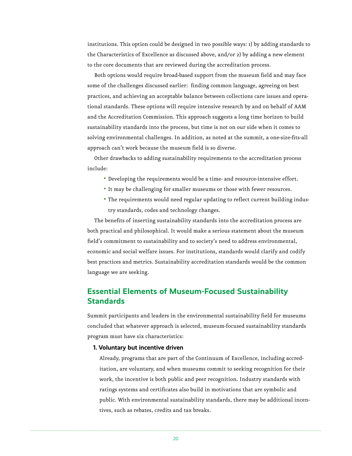institutions. This option could be designed in two possible ways: 1) by adding standards to the Characteristics of Excellence as discussed above, and/or 2) by adding a new element to the core documents that are reviewed during the accreditation process.

Both options would require broad-based support from the museum field and may face some of the challenges discussed earlier: finding common language, agreeing on best practices, and achieving an acceptable balance between collections care issues and operational standards. These options will require intensive research by and on behalf of AAM and the Accreditation Commission. This approach suggests a long time horizon to build sustainability standards into the process, but time is not on our side when it comes to solving environmental challenges. In addition, as noted at the summit, a one-size-fits-all approach can't work because the museum field is so diverse.

Other drawbacks to adding sustainability requirements to the accreditation process include:

- Developing the requirements would be a time- and resource-intensive effort.
- It may be challenging for smaller museums or those with fewer resources.
- The requirements would need regular updating to reflect current building industry standards, codes and technology changes.

The benefits of inserting sustainability standards into the accreditation process are both practical and philosophical. It would make a serious statement about the museum field's commitment to sustainability and to society's need to address environmental, economic and social welfare issues. For institutions, standards would clarify and codify best practices and metrics. Sustainability accreditation standards would be the common language we are seeking.

## **Essential Elements of Museum-Focused Sustainability Standards**

Summit participants and leaders in the environmental sustainability field for museums concluded that whatever approach is selected, museum-focused sustainability standards program must have six characteristics:

#### **1. Voluntary but incentive driven**

Already, programs that are part of the Continuum of Excellence, including accreditation, are voluntary, and when museums commit to seeking recognition for their work, the incentive is both public and peer recognition. Industry standards with ratings systems and certificates also build in motivations that are symbolic and public. With environmental sustainability standards, there may be additional incentives, such as rebates, credits and tax breaks.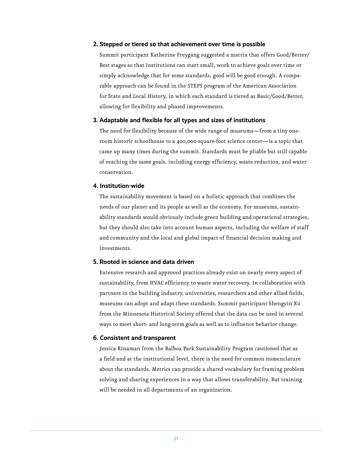#### **2. Stepped or tiered so that achievement over time is possible**

Summit participant Katherine Freygang suggested a matrix that offers Good/Better/ Best stages so that institutions can start small, work to achieve goals over time or simply acknowledge that for some standards, good will be good enough. A comparable approach can be found in the STEPS program of the American Association for State and Local History, in which each standard is tiered as Basic/Good/Better, allowing for flexibility and phased improvements.

#### **3. Adaptable and flexible for all types and sizes of institutions**

The need for flexibility because of the wide range of museums—from a tiny oneroom historic schoolhouse to a 400,000-square-foot science center—is a topic that came up many times during the summit. Standards must be pliable but still capable of reaching the same goals, including energy efficiency, waste reduction, and water conservation.

#### **4. Institution-wide**

The sustainability movement is based on a holistic approach that combines the needs of our planet and its people as well as the economy. For museums, sustainability standards would obviously include green building and operational strategies, but they should also take into account human aspects, including the welfare of staff and community and the local and global impact of financial decision making and investments.

#### **5. Rooted in science and data driven**

Extensive research and approved practices already exist on nearly every aspect of sustainability, from HVAC efficiency to waste water recovery. In collaboration with partners in the building industry, universities, researchers and other allied fields, museums can adopt and adapt these standards. Summit participant Shengyin Xu from the Minnesota Historical Society offered that the data can be used in several ways to meet short- and long-term goals as well as to influence behavior change.

#### **6. Consistent and transparent**

Jessica Rinaman from the Balboa Park Sustainability Program cautioned that as a field and at the institutional level, there is the need for common nomenclature about the standards. Metrics can provide a shared vocabulary for framing problem solving and sharing experiences in a way that allows transferability. But training will be needed in all departments of an organization.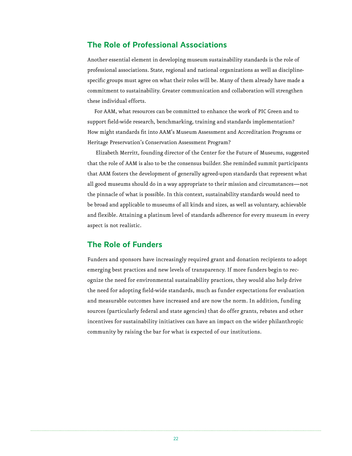## **The Role of Professional Associations**

Another essential element in developing museum sustainability standards is the role of professional associations. State, regional and national organizations as well as disciplinespecific groups must agree on what their roles will be. Many of them already have made a commitment to sustainability. Greater communication and collaboration will strengthen these individual efforts.

For AAM, what resources can be committed to enhance the work of PIC Green and to support field-wide research, benchmarking, training and standards implementation? How might standards fit into AAM's Museum Assessment and Accreditation Programs or Heritage Preservation's Conservation Assessment Program?

 Elizabeth Merritt, founding director of the Center for the Future of Museums, suggested that the role of AAM is also to be the consensus builder. She reminded summit participants that AAM fosters the development of generally agreed-upon standards that represent what all good museums should do in a way appropriate to their mission and circumstances—not the pinnacle of what is possible. In this context, sustainability standards would need to be broad and applicable to museums of all kinds and sizes, as well as voluntary, achievable and flexible. Attaining a platinum level of standards adherence for every museum in every aspect is not realistic.

## **The Role of Funders**

Funders and sponsors have increasingly required grant and donation recipients to adopt emerging best practices and new levels of transparency. If more funders begin to recognize the need for environmental sustainability practices, they would also help drive the need for adopting field-wide standards, much as funder expectations for evaluation and measurable outcomes have increased and are now the norm. In addition, funding sources (particularly federal and state agencies) that do offer grants, rebates and other incentives for sustainability initiatives can have an impact on the wider philanthropic community by raising the bar for what is expected of our institutions.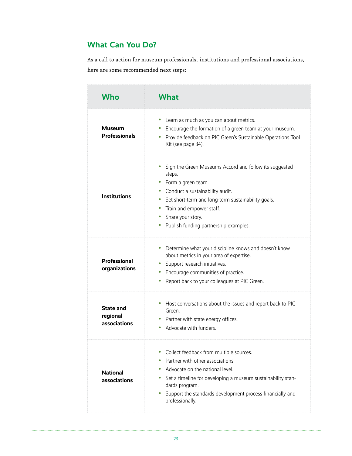# **What Can You Do?**

As a call to action for museum professionals, institutions and professional associations, here are some recommended next steps:

| Who                                          | What                                                                                                                                                                                                                                                                                              |
|----------------------------------------------|---------------------------------------------------------------------------------------------------------------------------------------------------------------------------------------------------------------------------------------------------------------------------------------------------|
| Museum<br><b>Professionals</b>               | Learn as much as you can about metrics.<br>$\bullet$<br>• Encourage the formation of a green team at your museum.<br>Provide feedback on PIC Green's Sustainable Operations Tool<br>0<br>Kit (see page 34).                                                                                       |
| <b>Institutions</b>                          | Sign the Green Museums Accord and follow its suggested<br>steps.<br>Form a green team.<br>• Conduct a sustainability audit.<br>• Set short-term and long-term sustainability goals.<br>• Train and empower staff.<br>• Share your story.<br>• Publish funding partnership examples.               |
| Professional<br>organizations                | Determine what your discipline knows and doesn't know<br>۰<br>about metrics in your area of expertise.<br>Support research initiatives.<br>Encourage communities of practice.<br>0<br>Report back to your colleagues at PIC Green.<br>۰                                                           |
| <b>State and</b><br>regional<br>associations | Host conversations about the issues and report back to PIC<br>Green.<br>Partner with state energy offices.<br>Advocate with funders.<br>0                                                                                                                                                         |
| <b>National</b><br>associations              | Collect feedback from multiple sources.<br>Partner with other associations.<br>Advocate on the national level.<br>$\bullet$<br>Set a timeline for developing a museum sustainability stan-<br>0<br>dards program.<br>Support the standards development process financially and<br>professionally. |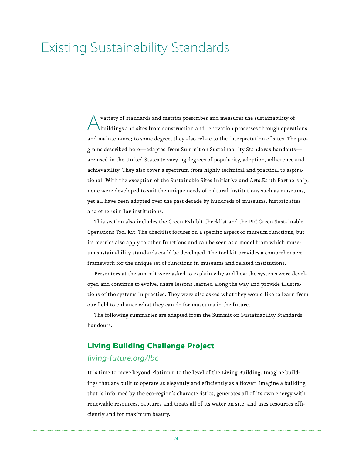# Existing Sustainability Standards

A variety of standards and metrics prescribes and measures the sustainability of buildings and sites from construction and renovation processes through operations and maintenance; to some degree, they also relate to the interpretation of sites. The programs described here—adapted from Summit on Sustainability Standards handouts are used in the United States to varying degrees of popularity, adoption, adherence and achievability. They also cover a spectrum from highly technical and practical to aspirational. With the exception of the Sustainable Sites Initiative and Arts:Earth Partnership, none were developed to suit the unique needs of cultural institutions such as museums, yet all have been adopted over the past decade by hundreds of museums, historic sites and other similar institutions.

This section also includes the Green Exhibit Checklist and the PIC Green Sustainable Operations Tool Kit. The checklist focuses on a specific aspect of museum functions, but its metrics also apply to other functions and can be seen as a model from which museum sustainability standards could be developed. The tool kit provides a comprehensive framework for the unique set of functions in museums and related institutions.

Presenters at the summit were asked to explain why and how the systems were developed and continue to evolve, share lessons learned along the way and provide illustrations of the systems in practice. They were also asked what they would like to learn from our field to enhance what they can do for museums in the future.

The following summaries are adapted from the Summit on Sustainability Standards handouts.

## **Living Building Challenge Project**

### living-future.org/lbc

It is time to move beyond Platinum to the level of the Living Building. Imagine buildings that are built to operate as elegantly and efficiently as a flower. Imagine a building that is informed by the eco-region's characteristics, generates all of its own energy with renewable resources, captures and treats all of its water on site, and uses resources efficiently and for maximum beauty.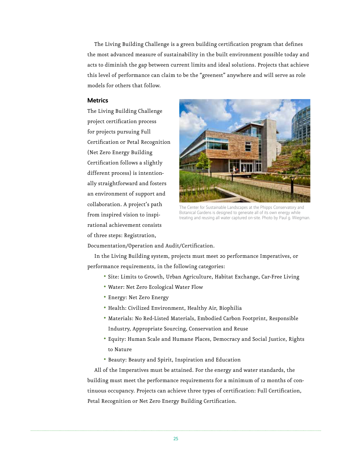The Living Building Challenge is a green building certification program that defines the most advanced measure of sustainability in the built environment possible today and acts to diminish the gap between current limits and ideal solutions. Projects that achieve this level of performance can claim to be the "greenest" anywhere and will serve as role models for others that follow.

#### **Metrics**

The Living Building Challenge project certification process for projects pursuing Full Certification or Petal Recognition (Net Zero Energy Building Certification follows a slightly different process) is intentionally straightforward and fosters an environment of support and collaboration. A project's path from inspired vision to inspirational achievement consists of three steps: Registration,



The Center for Sustainable Landscapes at the Phipps Conservatory and Botanical Gardens is designed to generate all of its own energy while treating and reusing all water captured on-site. Photo by Paul g. Wiegman.

Documentation/Operation and Audit/Certification.

In the Living Building system, projects must meet 20 performance Imperatives, or performance requirements, in the following categories:

- Site: Limits to Growth, Urban Agriculture, Habitat Exchange, Car-Free Living
- Water: Net Zero Ecological Water Flow
- Energy: Net Zero Energy
- Health: Civilized Environment, Healthy Air, Biophilia
- Materials: No Red-Listed Materials, Embodied Carbon Footprint, Responsible Industry, Appropriate Sourcing, Conservation and Reuse
- Equity: Human Scale and Humane Places, Democracy and Social Justice, Rights to Nature
- Beauty: Beauty and Spirit, Inspiration and Education

All of the Imperatives must be attained. For the energy and water standards, the building must meet the performance requirements for a minimum of 12 months of continuous occupancy. Projects can achieve three types of certification: Full Certification, Petal Recognition or Net Zero Energy Building Certification.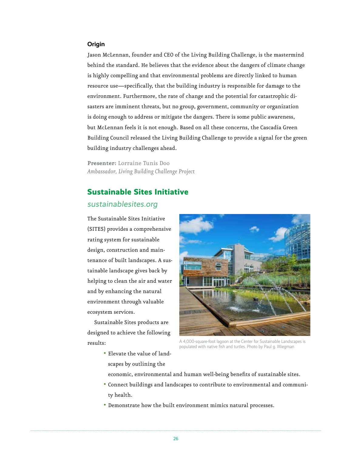#### **Origin**

Jason McLennan, founder and CEO of the Living Building Challenge, is the mastermind behind the standard. He believes that the evidence about the dangers of climate change is highly compelling and that environmental problems are directly linked to human resource use—specifically, that the building industry is responsible for damage to the environment. Furthermore, the rate of change and the potential for catastrophic disasters are imminent threats, but no group, government, community or organization is doing enough to address or mitigate the dangers. There is some public awareness, but McLennan feels it is not enough. Based on all these concerns, the Cascadia Green Building Council released the Living Building Challenge to provide a signal for the green building industry challenges ahead.

**Presenter:** Lorraine Tunis Doo *Ambassador, Living Building Challenge Project*

### **Sustainable Sites Initiative**

#### sustainablesites.org

The Sustainable Sites Initiative (SITES) provides a comprehensive rating system for sustainable design, construction and maintenance of built landscapes. A sustainable landscape gives back by helping to clean the air and water and by enhancing the natural environment through valuable ecosystem services.

Sustainable Sites products are designed to achieve the following results:



A 4,000-square-foot lagoon at the Center for Sustainable Landscapes is populated with native fish and turtles. Photo by Paul g. Wiegman

• Elevate the value of landscapes by outlining the

economic, environmental and human well-being benefits of sustainable sites.

- Connect buildings and landscapes to contribute to environmental and community health.
- Demonstrate how the built environment mimics natural processes.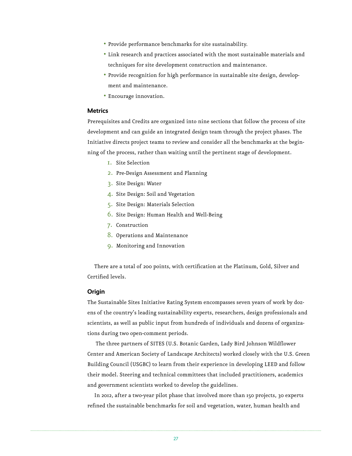- Provide performance benchmarks for site sustainability.
- Link research and practices associated with the most sustainable materials and techniques for site development construction and maintenance.
- Provide recognition for high performance in sustainable site design, development and maintenance.
- Encourage innovation.

#### **Metrics**

Prerequisites and Credits are organized into nine sections that follow the process of site development and can guide an integrated design team through the project phases. The Initiative directs project teams to review and consider all the benchmarks at the beginning of the process, rather than waiting until the pertinent stage of development.

- 1. Site Selection
- 2. Pre-Design Assessment and Planning
- 3. Site Design: Water
- 4. Site Design: Soil and Vegetation
- 5. Site Design: Materials Selection
- 6. Site Design: Human Health and Well-Being
- 7. Construction
- 8. Operations and Maintenance
- 9. Monitoring and Innovation

There are a total of 200 points, with certification at the Platinum, Gold, Silver and Certified levels.

#### **Origin**

The Sustainable Sites Initiative Rating System encompasses seven years of work by dozens of the country's leading sustainability experts, researchers, design professionals and scientists, as well as public input from hundreds of individuals and dozens of organizations during two open-comment periods.

 The three partners of SITES (U.S. Botanic Garden, Lady Bird Johnson Wildflower Center and American Society of Landscape Architects) worked closely with the U.S. Green Building Council (USGBC) to learn from their experience in developing LEED and follow their model. Steering and technical committees that included practitioners, academics and government scientists worked to develop the guidelines.

In 2012, after a two-year pilot phase that involved more than 150 projects, 30 experts refined the sustainable benchmarks for soil and vegetation, water, human health and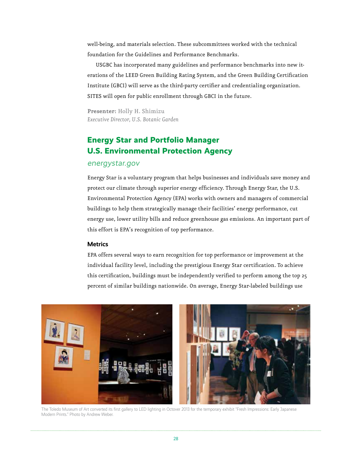well-being, and materials selection. These subcommittees worked with the technical foundation for the Guidelines and Performance Benchmarks.

 USGBC has incorporated many guidelines and performance benchmarks into new iterations of the LEED Green Building Rating System, and the Green Building Certification Institute (GBCI) will serve as the third-party certifier and credentialing organization. SITES will open for public enrollment through GBCI in the future.

**Presenter:** Holly H. Shimizu *Executive Director, U.S. Botanic Garden*

# **Energy Star and Portfolio Manager U.S. Environmental Protection Agency**

#### energystar.gov

Energy Star is a voluntary program that helps businesses and individuals save money and protect our climate through superior energy efficiency. Through Energy Star, the U.S. Environmental Protection Agency (EPA) works with owners and managers of commercial buildings to help them strategically manage their facilities' energy performance, cut energy use, lower utility bills and reduce greenhouse gas emissions. An important part of this effort is EPA's recognition of top performance.

#### **Metrics**

EPA offers several ways to earn recognition for top performance or improvement at the individual facility level, including the prestigious Energy Star certification. To achieve this certification, buildings must be independently verified to perform among the top 25 percent of similar buildings nationwide. On average, Energy Star-labeled buildings use



The Toledo Museum of Art converted its first gallery to LED lighting in Octover 2013 for the temporary exhibit "Fresh Impressions: Early Japanese Modern Prints." Photo by Andrew Weber.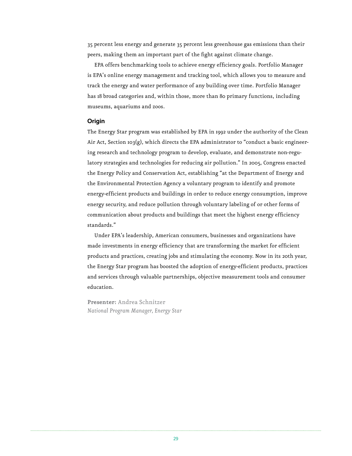35 percent less energy and generate 35 percent less greenhouse gas emissions than their peers, making them an important part of the fight against climate change.

EPA offers benchmarking tools to achieve energy efficiency goals. Portfolio Manager is EPA's online energy management and tracking tool, which allows you to measure and track the energy and water performance of any building over time. Portfolio Manager has 18 broad categories and, within those, more than 80 primary functions, including museums, aquariums and zoos.

#### **Origin**

The Energy Star program was established by EPA in 1992 under the authority of the Clean Air Act, Section 103(g), which directs the EPA administrator to "conduct a basic engineering research and technology program to develop, evaluate, and demonstrate non-regulatory strategies and technologies for reducing air pollution." In 2005, Congress enacted the Energy Policy and Conservation Act, establishing "at the Department of Energy and the Environmental Protection Agency a voluntary program to identify and promote energy-efficient products and buildings in order to reduce energy consumption, improve energy security, and reduce pollution through voluntary labeling of or other forms of communication about products and buildings that meet the highest energy efficiency standards."

Under EPA's leadership, American consumers, businesses and organizations have made investments in energy efficiency that are transforming the market for efficient products and practices, creating jobs and stimulating the economy. Now in its 20th year, the Energy Star program has boosted the adoption of energy-efficient products, practices and services through valuable partnerships, objective measurement tools and consumer education.

**Presenter:** Andrea Schnitzer *National Program Manager, Energy Star*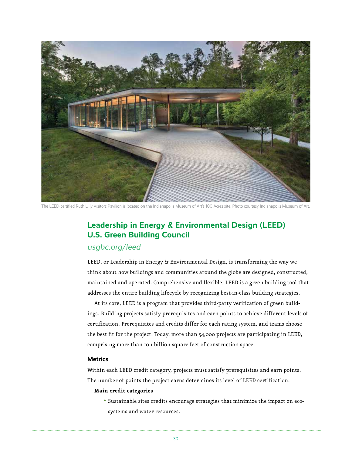

The LEED-certified Ruth Lilly Visitors Pavilion is located on the Indianapolis Museum of Art's 100 Acres site. Photo courtesy Indianapolis Museum of Art.

# **Leadership in Energy & Environmental Design (LEED) U.S. Green Building Council**

## usgbc.org/leed

LEED, or Leadership in Energy & Environmental Design, is transforming the way we think about how buildings and communities around the globe are designed, constructed, maintained and operated. Comprehensive and flexible, LEED is a green building tool that addresses the entire building lifecycle by recognizing best-in-class building strategies.

At its core, LEED is a program that provides third-party verification of green buildings. Building projects satisfy prerequisites and earn points to achieve different levels of certification. Prerequisites and credits differ for each rating system, and teams choose the best fit for the project. Today, more than 54,000 projects are participating in LEED, comprising more than 10.1 billion square feet of construction space.

#### **Metrics**

Within each LEED credit category, projects must satisfy prerequisites and earn points. The number of points the project earns determines its level of LEED certification.

#### **Main credit categories**

• Sustainable sites credits encourage strategies that minimize the impact on ecosystems and water resources.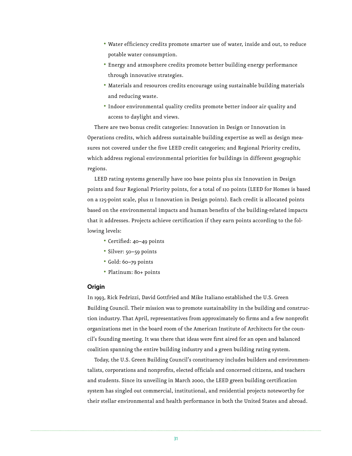- Water efficiency credits promote smarter use of water, inside and out, to reduce potable water consumption.
- Energy and atmosphere credits promote better building energy performance through innovative strategies.
- Materials and resources credits encourage using sustainable building materials and reducing waste.
- Indoor environmental quality credits promote better indoor air quality and access to daylight and views.

There are two bonus credit categories: Innovation in Design or Innovation in Operations credits, which address sustainable building expertise as well as design measures not covered under the five LEED credit categories; and Regional Priority credits, which address regional environmental priorities for buildings in different geographic regions.

LEED rating systems generally have 100 base points plus six Innovation in Design points and four Regional Priority points, for a total of 110 points (LEED for Homes is based on a 125-point scale, plus 11 Innovation in Design points). Each credit is allocated points based on the environmental impacts and human benefits of the building-related impacts that it addresses. Projects achieve certification if they earn points according to the following levels:

- Certified: 40–49 points
- Silver: 50–59 points
- Gold: 60–79 points
- Platinum: 80+ points

#### **Origin**

In 1993, Rick Fedrizzi, David Gottfried and Mike Italiano established the U.S. Green Building Council. Their mission was to promote sustainability in the building and construction industry. That April, representatives from approximately 60 firms and a few nonprofit organizations met in the board room of the American Institute of Architects for the council's founding meeting. It was there that ideas were first aired for an open and balanced coalition spanning the entire building industry and a green building rating system.

Today, the U.S. Green Building Council's constituency includes builders and environmentalists, corporations and nonprofits, elected officials and concerned citizens, and teachers and students. Since its unveiling in March 2000, the LEED green building certification system has singled out commercial, institutional, and residential projects noteworthy for their stellar environmental and health performance in both the United States and abroad.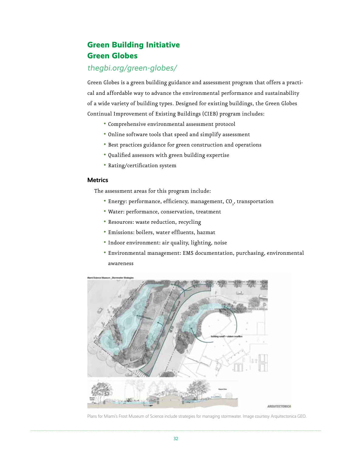# **Green Building Initiative Green Globes**

## thegbi.org/green-globes/

Green Globes is a green building guidance and assessment program that offers a practical and affordable way to advance the environmental performance and sustainability of a wide variety of building types. Designed for existing buildings, the Green Globes Continual Improvement of Existing Buildings (CIEB) program includes:

- Comprehensive environmental assessment protocol
- Online software tools that speed and simplify assessment
- Best practices guidance for green construction and operations
- Qualified assessors with green building expertise
- Rating/certification system

#### **Metrics**

The assessment areas for this program include:

- Energy: performance, efficiency, management,  $CO_{2}$ , transportation
- Water: performance, conservation, treatment
- Resources: waste reduction, recycling
- Emissions: boilers, water effluents, hazmat
- Indoor environment: air quality, lighting, noise
- Environmental management: EMS documentation, purchasing, environmental awareness



Plans for Miami's Frost Museum of Science include strategies for managing stormwater. Image courtesy Arquitectonica GEO.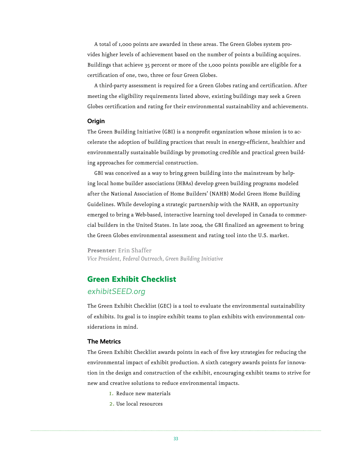A total of 1,000 points are awarded in these areas. The Green Globes system provides higher levels of achievement based on the number of points a building acquires. Buildings that achieve 35 percent or more of the 1,000 points possible are eligible for a certification of one, two, three or four Green Globes.

A third-party assessment is required for a Green Globes rating and certification. After meeting the eligibility requirements listed above, existing buildings may seek a Green Globes certification and rating for their environmental sustainability and achievements.

#### **Origin**

The Green Building Initiative (GBI) is a nonprofit organization whose mission is to accelerate the adoption of building practices that result in energy-efficient, healthier and environmentally sustainable buildings by promoting credible and practical green building approaches for commercial construction.

GBI was conceived as a way to bring green building into the mainstream by helping local home builder associations (HBAs) develop green building programs modeled after the National Association of Home Builders' (NAHB) Model Green Home Building Guidelines. While developing a strategic partnership with the NAHB, an opportunity emerged to bring a Web-based, interactive learning tool developed in Canada to commercial builders in the United States. In late 2004, the GBI finalized an agreement to bring the Green Globes environmental assessment and rating tool into the U.S. market.

**Presenter:** Erin Shaffer *Vice President, Federal Outreach, Green Building Initiative*

## **Green Exhibit Checklist**

### exhibitSEED.org

The Green Exhibit Checklist (GEC) is a tool to evaluate the environmental sustainability of exhibits. Its goal is to inspire exhibit teams to plan exhibits with environmental considerations in mind.

#### **The Metrics**

The Green Exhibit Checklist awards points in each of five key strategies for reducing the environmental impact of exhibit production. A sixth category awards points for innovation in the design and construction of the exhibit, encouraging exhibit teams to strive for new and creative solutions to reduce environmental impacts.

- 1. Reduce new materials
- 2. Use local resources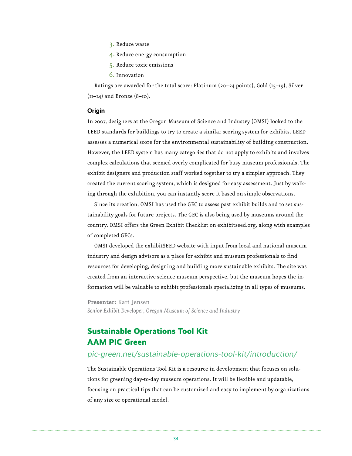- 3. Reduce waste
- 4. Reduce energy consumption
- 5. Reduce toxic emissions
- 6. Innovation

Ratings are awarded for the total score: Platinum (20–24 points), Gold (15–19), Silver  $(II-I4)$  and Bronze  $(8-I0)$ .

#### **Origin**

In 2007, designers at the Oregon Museum of Science and Industry (OMSI) looked to the LEED standards for buildings to try to create a similar scoring system for exhibits. LEED assesses a numerical score for the environmental sustainability of building construction. However, the LEED system has many categories that do not apply to exhibits and involves complex calculations that seemed overly complicated for busy museum professionals. The exhibit designers and production staff worked together to try a simpler approach. They created the current scoring system, which is designed for easy assessment. Just by walking through the exhibition, you can instantly score it based on simple observations.

Since its creation, OMSI has used the GEC to assess past exhibit builds and to set sustainability goals for future projects. The GEC is also being used by museums around the country. OMSI offers the Green Exhibit Checklist on exhibitseed.org, along with examples of completed GECs.

OMSI developed the exhibitSEED website with input from local and national museum industry and design advisors as a place for exhibit and museum professionals to find resources for developing, designing and building more sustainable exhibits. The site was created from an interactive science museum perspective, but the museum hopes the information will be valuable to exhibit professionals specializing in all types of museums.

**Presenter:** Kari Jensen *Senior Exhibit Developer, Oregon Museum of Science and Industry*

# **Sustainable Operations Tool Kit AAM PIC Green**

### pic-green.net/sustainable-operations-tool-kit/introduction/

The Sustainable Operations Tool Kit is a resource in development that focuses on solutions for greening day-to-day museum operations. It will be flexible and updatable, focusing on practical tips that can be customized and easy to implement by organizations of any size or operational model.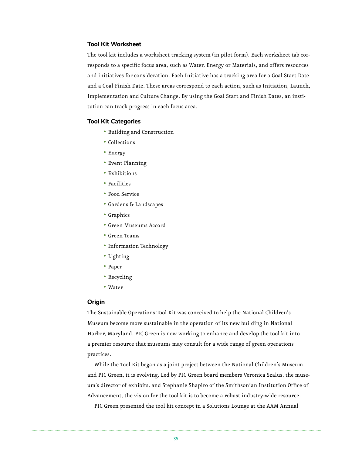#### **Tool Kit Worksheet**

The tool kit includes a worksheet tracking system (in pilot form). Each worksheet tab corresponds to a specific focus area, such as Water, Energy or Materials, and offers resources and initiatives for consideration. Each Initiative has a tracking area for a Goal Start Date and a Goal Finish Date. These areas correspond to each action, such as Initiation, Launch, Implementation and Culture Change. By using the Goal Start and Finish Dates, an institution can track progress in each focus area.

#### **Tool Kit Categories**

- Building and Construction
- Collections
- Energy
- Event Planning
- Exhibitions
- Facilities
- Food Service
- Gardens & Landscapes
- Graphics
- Green Museums Accord
- Green Teams
- Information Technology
- Lighting
- Paper
- Recycling
- Water

#### **Origin**

The Sustainable Operations Tool Kit was conceived to help the National Children's Museum become more sustainable in the operation of its new building in National Harbor, Maryland. PIC Green is now working to enhance and develop the tool kit into a premier resource that museums may consult for a wide range of green operations practices.

While the Tool Kit began as a joint project between the National Children's Museum and PIC Green, it is evolving. Led by PIC Green board members Veronica Szalus, the museum's director of exhibits, and Stephanie Shapiro of the Smithsonian Institution Office of Advancement, the vision for the tool kit is to become a robust industry-wide resource.

PIC Green presented the tool kit concept in a Solutions Lounge at the AAM Annual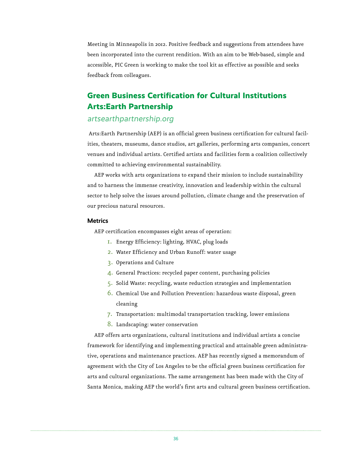Meeting in Minneapolis in 2012. Positive feedback and suggestions from attendees have been incorporated into the current rendition. With an aim to be Web-based, simple and accessible, PIC Green is working to make the tool kit as effective as possible and seeks feedback from colleagues.

# **Green Business Certification for Cultural Institutions Arts:Earth Partnership**

### artsearthpartnership.org

 Arts:Earth Partnership (AEP) is an official green business certification for cultural facilities, theaters, museums, dance studios, art galleries, performing arts companies, concert venues and individual artists. Certified artists and facilities form a coalition collectively committed to achieving environmental sustainability.

AEP works with arts organizations to expand their mission to include sustainability and to harness the immense creativity, innovation and leadership within the cultural sector to help solve the issues around pollution, climate change and the preservation of our precious natural resources.

#### **Metrics**

AEP certification encompasses eight areas of operation:

- 1. Energy Efficiency: lighting, HVAC, plug loads
- 2. Water Efficiency and Urban Runoff: water usage
- 3. Operations and Culture
- 4. General Practices: recycled paper content, purchasing policies
- 5. Solid Waste: recycling, waste reduction strategies and implementation
- 6. Chemical Use and Pollution Prevention: hazardous waste disposal, green cleaning
- 7. Transportation: multimodal transportation tracking, lower emissions
- 8. Landscaping: water conservation

AEP offers arts organizations, cultural institutions and individual artists a concise framework for identifying and implementing practical and attainable green administrative, operations and maintenance practices. AEP has recently signed a memorandum of agreement with the City of Los Angeles to be the official green business certification for arts and cultural organizations. The same arrangement has been made with the City of Santa Monica, making AEP the world's first arts and cultural green business certification.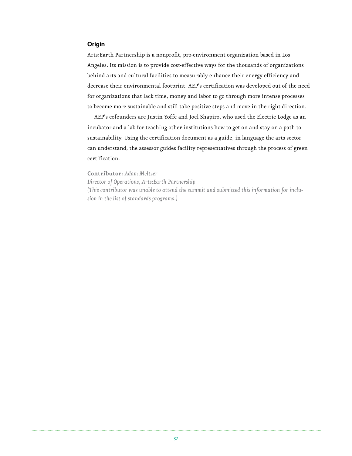#### **Origin**

Arts:Earth Partnership is a nonprofit, pro-environment organization based in Los Angeles. Its mission is to provide cost-effective ways for the thousands of organizations behind arts and cultural facilities to measurably enhance their energy efficiency and decrease their environmental footprint. AEP's certification was developed out of the need for organizations that lack time, money and labor to go through more intense processes to become more sustainable and still take positive steps and move in the right direction.

AEP's cofounders are Justin Yoffe and Joel Shapiro, who used the Electric Lodge as an incubator and a lab for teaching other institutions how to get on and stay on a path to sustainability. Using the certification document as a guide, in language the arts sector can understand, the assessor guides facility representatives through the process of green certification.

**Contributor:** *Adam Meltzer Director of Operations, Arts:Earth Partnership (This contributor was unable to attend the summit and submitted this information for inclusion in the list of standards programs.)*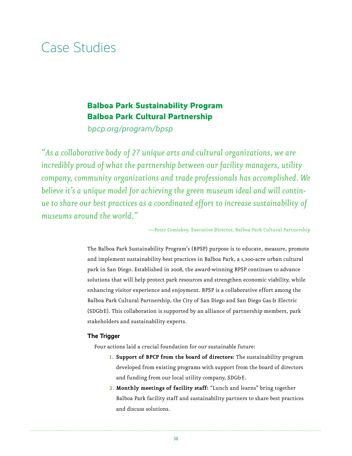# Case Studies

# **Balboa Park Sustainability Program Balboa Park Cultural Partnership**

bpcp.org/program/bpsp

*"As a collaborative body of 27 unique arts and cultural organizations, we are incredibly proud of what the partnership between our facility managers, utility company, community organizations and trade professionals has accomplished. We believe it's a unique model for achieving the green museum ideal and will continue to share our best practices as a coordinated effort to increase sustainability of museums around the world."*

—Peter Comiskey, Executive Director, Balboa Park Cultural Partnership

The Balboa Park Sustainability Program's (BPSP) purpose is to educate, measure, promote and implement sustainability best practices in Balboa Park, a 1,200-acre urban cultural park in San Diego. Established in 2008, the award-winning BPSP continues to advance solutions that will help protect park resources and strengthen economic viability, while enhancing visitor experience and enjoyment. BPSP is a collaborative effort among the Balboa Park Cultural Partnership, the City of San Diego and San Diego Gas & Electric (SDG&E). This collaboration is supported by an alliance of partnership members, park stakeholders and sustainability experts.

#### **The Trigger**

Four actions laid a crucial foundation for our sustainable future:

- 1. **Support of BPCP from the board of directors:** The sustainability program developed from existing programs with support from the board of directors and funding from our local utility company, SDG&E.
- 2. **Monthly meetings of facility staff:** "Lunch and learns" bring together Balboa Park facility staff and sustainability partners to share best practices and discuss solutions.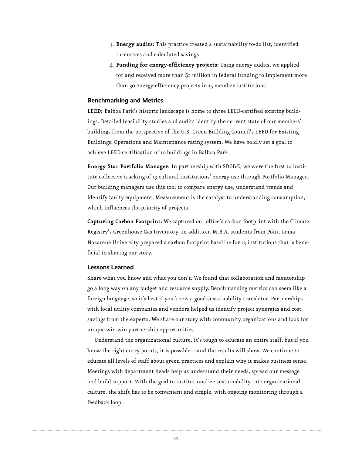- 3. **Energy audits:** This practice created a sustainability to-do list, identified incentives and calculated savings.
- 4. **Funding for energy-efficiency projects:** Using energy audits, we applied for and received more than \$2 million in federal funding to implement more than 30 energy-efficiency projects in 15 member institutions.

#### **Benchmarking and Metrics**

**LEED:** Balboa Park's historic landscape is home to three LEED-certified existing buildings. Detailed feasibility studies and audits identify the current state of our members' buildings from the perspective of the U.S. Green Building Council's LEED for Existing Buildings: Operations and Maintenance rating system. We have boldly set a goal to achieve LEED certification of 10 buildings in Balboa Park.

**Energy Star Portfolio Manager:** In partnership with SDG&E, we were the first to institute collective tracking of 19 cultural institutions' energy use through Portfolio Manager. Our building managers use this tool to compare energy use, understand trends and identify faulty equipment. Measurement is the catalyst to understanding consumption, which influences the priority of projects.

**Capturing Carbon Footprint:** We captured our office's carbon footprint with the Climate Registry's Greenhouse Gas Inventory. In addition, M.B.A. students from Point Loma Nazarene University prepared a carbon footprint baseline for 13 institutions that is beneficial in sharing our story.

#### **Lessons Learned**

Share what you know and what you don't. We found that collaboration and mentorship go a long way on any budget and resource supply. Benchmarking metrics can seem like a foreign language, so it's best if you know a good sustainability translator. Partnerships with local utility companies and vendors helped us identify project synergies and cost savings from the experts. We share our story with community organizations and look for unique win-win partnership opportunities.

Understand the organizational culture. It's tough to educate an entire staff, but if you know the right entry points, it is possible—and the results will show. We continue to educate all levels of staff about green practices and explain why it makes business sense. Meetings with department heads help us understand their needs, spread our message and build support. With the goal to institutionalize sustainability into organizational culture, the shift has to be convenient and simple, with ongoing monitoring through a feedback loop.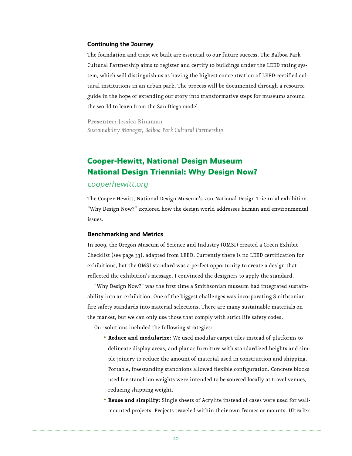#### **Continuing the Journey**

The foundation and trust we built are essential to our future success. The Balboa Park Cultural Partnership aims to register and certify 10 buildings under the LEED rating system, which will distinguish us as having the highest concentration of LEED-certified cultural institutions in an urban park. The process will be documented through a resource guide in the hope of extending our story into transformative steps for museums around the world to learn from the San Diego model.

**Presenter:** Jessica Rinaman *Sustainability Manager, Balboa Park Cultural Partnership*

## **Cooper-Hewitt, National Design Museum National Design Triennial: Why Design Now?**

#### cooperhewitt.org

The Cooper-Hewitt, National Design Museum's 2011 National Design Triennial exhibition "Why Design Now?" explored how the design world addresses human and environmental issues.

#### **Benchmarking and Metrics**

In 2009, the Oregon Museum of Science and Industry (OMSI) created a Green Exhibit Checklist (see page 33), adapted from LEED. Currently there is no LEED certification for exhibitions, but the OMSI standard was a perfect opportunity to create a design that reflected the exhibition's message. I convinced the designers to apply the standard.

"Why Design Now?" was the first time a Smithsonian museum had integrated sustainability into an exhibition. One of the biggest challenges was incorporating Smithsonian fire safety standards into material selections. There are many sustainable materials on the market, but we can only use those that comply with strict life safety codes.

Our solutions included the following strategies:

- **Reduce and modularize:** We used modular carpet tiles instead of platforms to delineate display areas, and planar furniture with standardized heights and simple joinery to reduce the amount of material used in construction and shipping. Portable, freestanding stanchions allowed flexible configuration. Concrete blocks used for stanchion weights were intended to be sourced locally at travel venues, reducing shipping weight.
- **Reuse and simplify:** Single sheets of Acrylite instead of cases were used for wallmounted projects. Projects traveled within their own frames or mounts. UltraTex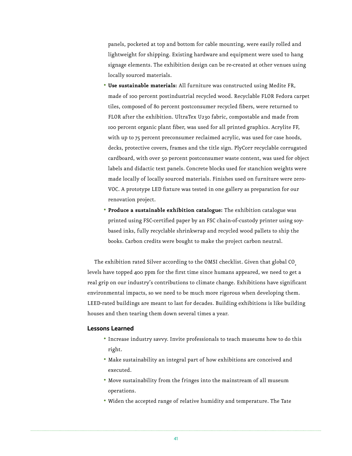panels, pocketed at top and bottom for cable mounting, were easily rolled and lightweight for shipping. Existing hardware and equipment were used to hang signage elements. The exhibition design can be re-created at other venues using locally sourced materials.

- **Use sustainable materials:** All furniture was constructed using Medite FR, made of 100 percent postindustrial recycled wood. Recyclable FLOR Fedora carpet tiles, composed of 80 percent postconsumer recycled fibers, were returned to FLOR after the exhibition. UltraTex U230 fabric, compostable and made from 100 percent organic plant fiber, was used for all printed graphics. Acrylite FF, with up to 75 percent preconsumer reclaimed acrylic, was used for case hoods, decks, protective covers, frames and the title sign. PlyCorr recyclable corrugated cardboard, with over 50 percent postconsumer waste content, was used for object labels and didactic text panels. Concrete blocks used for stanchion weights were made locally of locally sourced materials. Finishes used on furniture were zero-VOC. A prototype LED fixture was tested in one gallery as preparation for our renovation project.
- **Produce a sustainable exhibition catalogue:** The exhibition catalogue was printed using FSC-certified paper by an FSC chain-of-custody printer using soybased inks, fully recyclable shrinkwrap and recycled wood pallets to ship the books. Carbon credits were bought to make the project carbon neutral.

The exhibition rated Silver according to the OMSI checklist. Given that global CO<sub>2</sub> levels have topped 400 ppm for the first time since humans appeared, we need to get a real grip on our industry's contributions to climate change. Exhibitions have significant environmental impacts, so we need to be much more rigorous when developing them. LEED-rated buildings are meant to last for decades. Building exhibitions is like building houses and then tearing them down several times a year.

#### **Lessons Learned**

- Increase industry savvy. Invite professionals to teach museums how to do this right.
- Make sustainability an integral part of how exhibitions are conceived and executed.
- Move sustainability from the fringes into the mainstream of all museum operations.
- Widen the accepted range of relative humidity and temperature. The Tate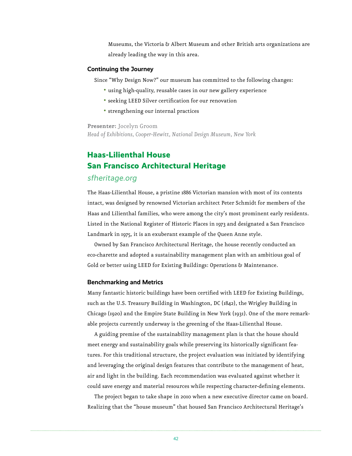Museums, the Victoria & Albert Museum and other British arts organizations are already leading the way in this area.

#### **Continuing the Journey**

Since "Why Design Now?" our museum has committed to the following changes:

- using high-quality, reusable cases in our new gallery experience
- seeking LEED Silver certification for our renovation
- strengthening our internal practices

**Presenter:** Jocelyn Groom

*Head of Exhibitions, Cooper-Hewitt, National Design Museum, New York*

# **Haas-Lilienthal House San Francisco Architectural Heritage**

### sfheritage.org

The Haas-Lilienthal House, a pristine 1886 Victorian mansion with most of its contents intact, was designed by renowned Victorian architect Peter Schmidt for members of the Haas and Lilienthal families, who were among the city's most prominent early residents. Listed in the National Register of Historic Places in 1973 and designated a San Francisco Landmark in 1975, it is an exuberant example of the Queen Anne style.

Owned by San Francisco Architectural Heritage, the house recently conducted an eco-charette and adopted a sustainability management plan with an ambitious goal of Gold or better using LEED for Existing Buildings: Operations & Maintenance.

#### **Benchmarking and Metrics**

Many fantastic historic buildings have been certified with LEED for Existing Buildings, such as the U.S. Treasury Building in Washington, DC (1842), the Wrigley Building in Chicago (1920) and the Empire State Building in New York (1931). One of the more remarkable projects currently underway is the greening of the Haas-Lilienthal House.

A guiding premise of the sustainability management plan is that the house should meet energy and sustainability goals while preserving its historically significant features. For this traditional structure, the project evaluation was initiated by identifying and leveraging the original design features that contribute to the management of heat, air and light in the building. Each recommendation was evaluated against whether it could save energy and material resources while respecting character-defining elements.

The project began to take shape in 2010 when a new executive director came on board. Realizing that the "house museum" that housed San Francisco Architectural Heritage's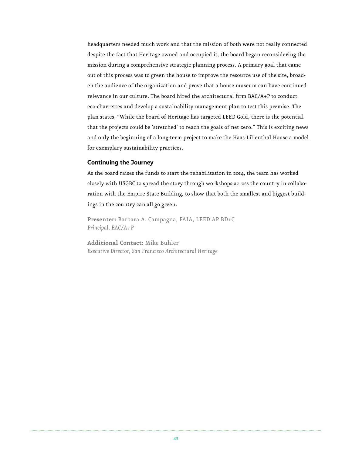headquarters needed much work and that the mission of both were not really connected despite the fact that Heritage owned and occupied it, the board began reconsidering the mission during a comprehensive strategic planning process. A primary goal that came out of this process was to green the house to improve the resource use of the site, broaden the audience of the organization and prove that a house museum can have continued relevance in our culture. The board hired the architectural firm BAC/A+P to conduct eco-charrettes and develop a sustainability management plan to test this premise. The plan states, "While the board of Heritage has targeted LEED Gold, there is the potential that the projects could be 'stretched' to reach the goals of net zero." This is exciting news and only the beginning of a long-term project to make the Haas-Lilienthal House a model for exemplary sustainability practices.

#### **Continuing the Journey**

As the board raises the funds to start the rehabilitation in 2014, the team has worked closely with USGBC to spread the story through workshops across the country in collaboration with the Empire State Building, to show that both the smallest and biggest buildings in the country can all go green.

**Presenter:** Barbara A. Campagna, FAIA, LEED AP BD+C *Principal, BAC/A+P*

**Additional Contact:** Mike Buhler *Executive Director, San Francisco Architectural Heritage*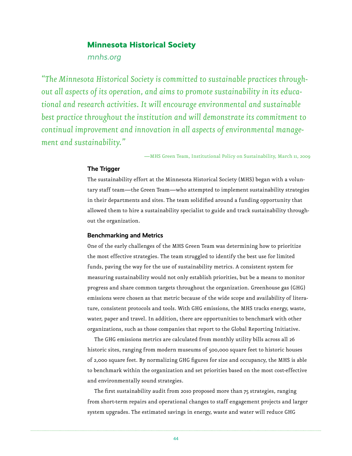## **Minnesota Historical Society**

mnhs.org

*"The Minnesota Historical Society is committed to sustainable practices throughout all aspects of its operation, and aims to promote sustainability in its educational and research activities. It will encourage environmental and sustainable best practice throughout the institution and will demonstrate its commitment to continual improvement and innovation in all aspects of environmental management and sustainability."*

—MHS Green Team, Institutional Policy on Sustainability, March 11, 2009

#### **The Trigger**

The sustainability effort at the Minnesota Historical Society (MHS) began with a voluntary staff team—the Green Team—who attempted to implement sustainability strategies in their departments and sites. The team solidified around a funding opportunity that allowed them to hire a sustainability specialist to guide and track sustainability throughout the organization.

#### **Benchmarking and Metrics**

One of the early challenges of the MHS Green Team was determining how to prioritize the most effective strategies. The team struggled to identify the best use for limited funds, paving the way for the use of sustainability metrics. A consistent system for measuring sustainability would not only establish priorities, but be a means to monitor progress and share common targets throughout the organization. Greenhouse gas (GHG) emissions were chosen as that metric because of the wide scope and availability of literature, consistent protocols and tools. With GHG emissions, the MHS tracks energy, waste, water, paper and travel. In addition, there are opportunities to benchmark with other organizations, such as those companies that report to the Global Reporting Initiative.

The GHG emissions metrics are calculated from monthly utility bills across all 26 historic sites, ranging from modern museums of 500,000 square feet to historic houses of 2,000 square feet. By normalizing GHG figures for size and occupancy, the MHS is able to benchmark within the organization and set priorities based on the most cost-effective and environmentally sound strategies.

The first sustainability audit from 2010 proposed more than 75 strategies, ranging from short-term repairs and operational changes to staff engagement projects and larger system upgrades. The estimated savings in energy, waste and water will reduce GHG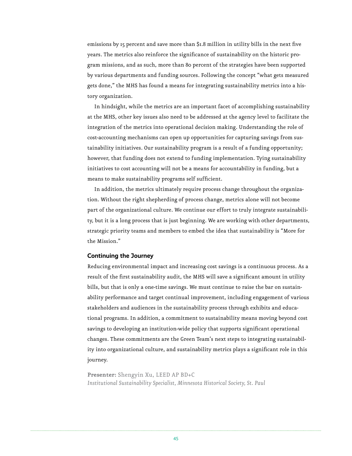emissions by 15 percent and save more than \$1.8 million in utility bills in the next five years. The metrics also reinforce the significance of sustainability on the historic program missions, and as such, more than 80 percent of the strategies have been supported by various departments and funding sources. Following the concept "what gets measured gets done," the MHS has found a means for integrating sustainability metrics into a history organization.

In hindsight, while the metrics are an important facet of accomplishing sustainability at the MHS, other key issues also need to be addressed at the agency level to facilitate the integration of the metrics into operational decision making. Understanding the role of cost-accounting mechanisms can open up opportunities for capturing savings from sustainability initiatives. Our sustainability program is a result of a funding opportunity; however, that funding does not extend to funding implementation. Tying sustainability initiatives to cost accounting will not be a means for accountability in funding, but a means to make sustainability programs self sufficient.

In addition, the metrics ultimately require process change throughout the organization. Without the right shepherding of process change, metrics alone will not become part of the organizational culture. We continue our effort to truly integrate sustainability, but it is a long process that is just beginning. We are working with other departments, strategic priority teams and members to embed the idea that sustainability is "More for the Mission."

#### **Continuing the Journey**

Reducing environmental impact and increasing cost savings is a continuous process. As a result of the first sustainability audit, the MHS will save a significant amount in utility bills, but that is only a one-time savings. We must continue to raise the bar on sustainability performance and target continual improvement, including engagement of various stakeholders and audiences in the sustainability process through exhibits and educational programs. In addition, a commitment to sustainability means moving beyond cost savings to developing an institution-wide policy that supports significant operational changes. These commitments are the Green Team's next steps to integrating sustainability into organizational culture, and sustainability metrics plays a significant role in this journey.

**Presenter:** Shengyin Xu, LEED AP BD+C *Institutional Sustainability Specialist, Minnesota Historical Society, St. Paul*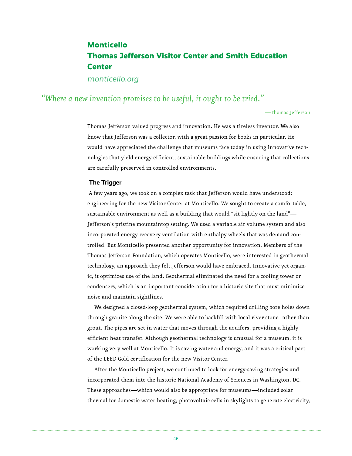# **Monticello Thomas Jefferson Visitor Center and Smith Education Center**

monticello.org

## *"Where a new invention promises to be useful, it ought to be tried."*

—Thomas Jefferson

Thomas Jefferson valued progress and innovation. He was a tireless inventor. We also know that Jefferson was a collector, with a great passion for books in particular. He would have appreciated the challenge that museums face today in using innovative technologies that yield energy-efficient, sustainable buildings while ensuring that collections are carefully preserved in controlled environments.

#### **The Trigger**

 A few years ago, we took on a complex task that Jefferson would have understood: engineering for the new Visitor Center at Monticello. We sought to create a comfortable, sustainable environment as well as a building that would "sit lightly on the land"— Jefferson's pristine mountaintop setting. We used a variable air volume system and also incorporated energy recovery ventilation with enthalpy wheels that was demand controlled. But Monticello presented another opportunity for innovation. Members of the Thomas Jefferson Foundation, which operates Monticello, were interested in geothermal technology, an approach they felt Jefferson would have embraced. Innovative yet organic, it optimizes use of the land. Geothermal eliminated the need for a cooling tower or condensers, which is an important consideration for a historic site that must minimize noise and maintain sightlines.

We designed a closed-loop geothermal system, which required drilling bore holes down through granite along the site. We were able to backfill with local river stone rather than grout. The pipes are set in water that moves through the aquifers, providing a highly efficient heat transfer. Although geothermal technology is unusual for a museum, it is working very well at Monticello. It is saving water and energy, and it was a critical part of the LEED Gold certification for the new Visitor Center.

After the Monticello project, we continued to look for energy-saving strategies and incorporated them into the historic National Academy of Sciences in Washington, DC. These approaches—which would also be appropriate for museums—included solar thermal for domestic water heating; photovoltaic cells in skylights to generate electricity,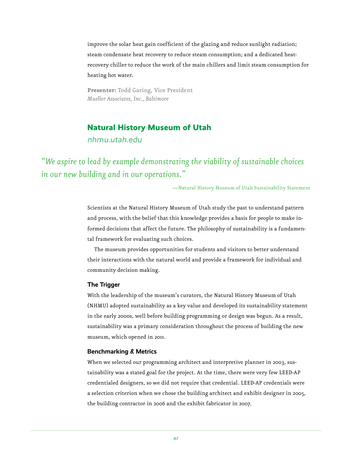improve the solar heat gain coefficient of the glazing and reduce sunlight radiation; steam condensate heat recovery to reduce steam consumption; and a dedicated heatrecovery chiller to reduce the work of the main chillers and limit steam consumption for heating hot water.

**Presenter:** Todd Garing, Vice President *Mueller Associates, Inc., Baltimore*

### **Natural History Museum of Utah**

nhmu.utah.edu

*"We aspire to lead by example demonstrating the viability of sustainable choices in our new building and in our operations."*

—Natural History Museum of Utah Sustainability Statement

Scientists at the Natural History Museum of Utah study the past to understand pattern and process, with the belief that this knowledge provides a basis for people to make informed decisions that affect the future. The philosophy of sustainability is a fundamental framework for evaluating such choices.

The museum provides opportunities for students and visitors to better understand their interactions with the natural world and provide a framework for individual and community decision making.

#### **The Trigger**

With the leadership of the museum's curators, the Natural History Museum of Utah (NHMU) adopted sustainability as a key value and developed its sustainability statement in the early 2000s, well before building programming or design was begun. As a result, sustainability was a primary consideration throughout the process of building the new museum, which opened in 2011.

#### **Benchmarking & Metrics**

When we selected our programming architect and interpretive planner in 2003, sustainability was a stated goal for the project. At the time, there were very few LEED-AP credentialed designers, so we did not require that credential. LEED-AP credentials were a selection criterion when we chose the building architect and exhibit designer in 2005, the building contractor in 2006 and the exhibit fabricator in 2007.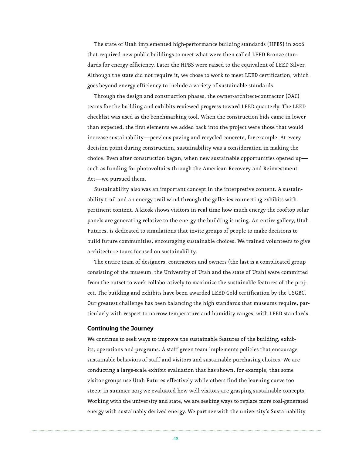The state of Utah implemented high-performance building standards (HPBS) in 2006 that required new public buildings to meet what were then called LEED Bronze standards for energy efficiency. Later the HPBS were raised to the equivalent of LEED Silver. Although the state did not require it, we chose to work to meet LEED certification, which goes beyond energy efficiency to include a variety of sustainable standards.

Through the design and construction phases, the owner-architect-contractor (OAC) teams for the building and exhibits reviewed progress toward LEED quarterly. The LEED checklist was used as the benchmarking tool. When the construction bids came in lower than expected, the first elements we added back into the project were those that would increase sustainability—pervious paving and recycled concrete, for example. At every decision point during construction, sustainability was a consideration in making the choice. Even after construction began, when new sustainable opportunities opened up such as funding for photovoltaics through the American Recovery and Reinvestment Act—we pursued them.

Sustainability also was an important concept in the interpretive content. A sustainability trail and an energy trail wind through the galleries connecting exhibits with pertinent content. A kiosk shows visitors in real time how much energy the rooftop solar panels are generating relative to the energy the building is using. An entire gallery, Utah Futures, is dedicated to simulations that invite groups of people to make decisions to build future communities, encouraging sustainable choices. We trained volunteers to give architecture tours focused on sustainability.

The entire team of designers, contractors and owners (the last is a complicated group consisting of the museum, the University of Utah and the state of Utah) were committed from the outset to work collaboratively to maximize the sustainable features of the project. The building and exhibits have been awarded LEED Gold certification by the USGBC. Our greatest challenge has been balancing the high standards that museums require, particularly with respect to narrow temperature and humidity ranges, with LEED standards.

#### **Continuing the Journey**

We continue to seek ways to improve the sustainable features of the building, exhibits, operations and programs. A staff green team implements policies that encourage sustainable behaviors of staff and visitors and sustainable purchasing choices. We are conducting a large-scale exhibit evaluation that has shown, for example, that some visitor groups use Utah Futures effectively while others find the learning curve too steep; in summer 2013 we evaluated how well visitors are grasping sustainable concepts. Working with the university and state, we are seeking ways to replace more coal-generated energy with sustainably derived energy. We partner with the university's Sustainability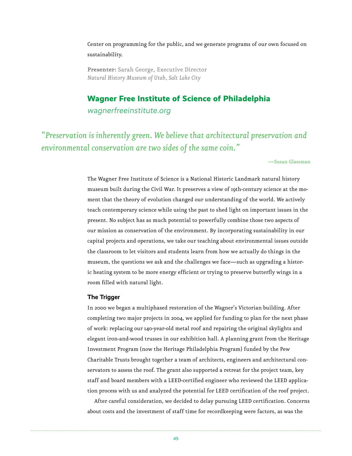Center on programming for the public, and we generate programs of our own focused on sustainability.

**Presenter:** Sarah George, Executive Director *Natural History Museum of Utah, Salt Lake City*

### **Wagner Free Institute of Science of Philadelphia**

wagnerfreeinstitute.org

*"Preservation is inherently green. We believe that architectural preservation and environmental conservation are two sides of the same coin."*

—Susan Glassman

The Wagner Free Institute of Science is a National Historic Landmark natural history museum built during the Civil War. It preserves a view of 19th-century science at the moment that the theory of evolution changed our understanding of the world. We actively teach contemporary science while using the past to shed light on important issues in the present. No subject has as much potential to powerfully combine those two aspects of our mission as conservation of the environment. By incorporating sustainability in our capital projects and operations, we take our teaching about environmental issues outside the classroom to let visitors and students learn from how we actually do things in the museum, the questions we ask and the challenges we face—such as upgrading a historic heating system to be more energy efficient or trying to preserve butterfly wings in a room filled with natural light.

#### **The Trigger**

In 2000 we began a multiphased restoration of the Wagner's Victorian building. After completing two major projects in 2004, we applied for funding to plan for the next phase of work: replacing our 140-year-old metal roof and repairing the original skylights and elegant iron-and-wood trusses in our exhibition hall. A planning grant from the Heritage Investment Program (now the Heritage Philadelphia Program) funded by the Pew Charitable Trusts brought together a team of architects, engineers and architectural conservators to assess the roof. The grant also supported a retreat for the project team, key staff and board members with a LEED-certified engineer who reviewed the LEED application process with us and analyzed the potential for LEED certification of the roof project.

After careful consideration, we decided to delay pursuing LEED certification. Concerns about costs and the investment of staff time for recordkeeping were factors, as was the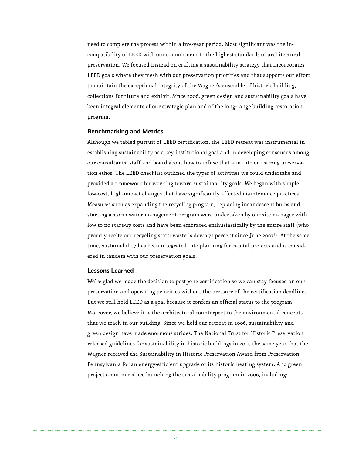need to complete the process within a five-year period. Most significant was the incompatibility of LEED with our commitment to the highest standards of architectural preservation. We focused instead on crafting a sustainability strategy that incorporates LEED goals where they mesh with our preservation priorities and that supports our effort to maintain the exceptional integrity of the Wagner's ensemble of historic building, collections furniture and exhibit. Since 2006, green design and sustainability goals have been integral elements of our strategic plan and of the long-range building restoration program.

#### **Benchmarking and Metrics**

Although we tabled pursuit of LEED certification, the LEED retreat was instrumental in establishing sustainability as a key institutional goal and in developing consensus among our consultants, staff and board about how to infuse that aim into our strong preservation ethos. The LEED checklist outlined the types of activities we could undertake and provided a framework for working toward sustainability goals. We began with simple, low-cost, high-impact changes that have significantly affected maintenance practices. Measures such as expanding the recycling program, replacing incandescent bulbs and starting a storm water management program were undertaken by our site manager with low to no start-up costs and have been embraced enthusiastically by the entire staff (who proudly recite our recycling stats: waste is down 72 percent since June 2007!). At the same time, sustainability has been integrated into planning for capital projects and is considered in tandem with our preservation goals.

#### **Lessons Learned**

We're glad we made the decision to postpone certification so we can stay focused on our preservation and operating priorities without the pressure of the certification deadline. But we still hold LEED as a goal because it confers an official status to the program. Moreover, we believe it is the architectural counterpart to the environmental concepts that we teach in our building. Since we held our retreat in 2006, sustainability and green design have made enormous strides. The National Trust for Historic Preservation released guidelines for sustainability in historic buildings in 2011, the same year that the Wagner received the Sustainability in Historic Preservation Award from Preservation Pennsylvania for an energy-efficient upgrade of its historic heating system. And green projects continue since launching the sustainability program in 2006, including: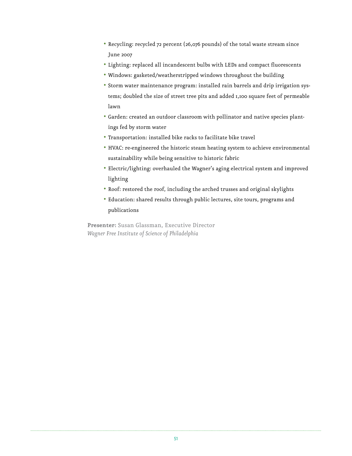- Recycling: recycled 72 percent (26,076 pounds) of the total waste stream since June 2007
- Lighting: replaced all incandescent bulbs with LEDs and compact fluorescents
- Windows: gasketed/weatherstripped windows throughout the building
- Storm water maintenance program: installed rain barrels and drip irrigation systems; doubled the size of street tree pits and added 1,100 square feet of permeable lawn
- Garden: created an outdoor classroom with pollinator and native species plantings fed by storm water
- Transportation: installed bike racks to facilitate bike travel
- HVAC: re-engineered the historic steam heating system to achieve environmental sustainability while being sensitive to historic fabric
- Electric/lighting: overhauled the Wagner's aging electrical system and improved lighting
- Roof: restored the roof, including the arched trusses and original skylights
- Education: shared results through public lectures, site tours, programs and publications

**Presenter:** Susan Glassman, Executive Director *Wagner Free Institute of Science of Philadelphia*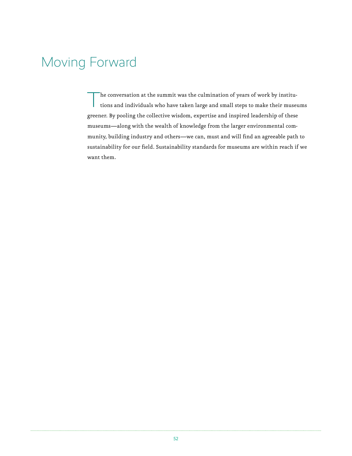# Moving Forward

The conversation at the summit was the culmination of years of work by institutions and individuals who have taken large and small steps to make their museums greener. By pooling the collective wisdom, expertise and inspired leadership of these museums—along with the wealth of knowledge from the larger environmental community, building industry and others—we can, must and will find an agreeable path to sustainability for our field. Sustainability standards for museums are within reach if we want them.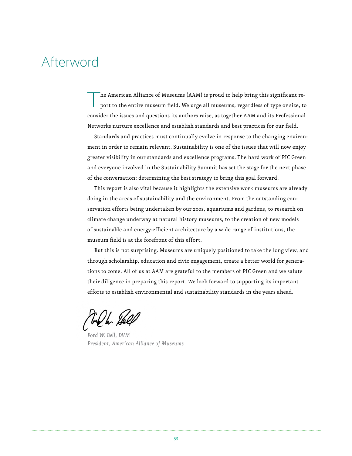# Afterword

The American Alliance of Museums (AAM) is proud to help bring this significant report to the entire museum field. We urge all museums, regardless of type or size, to consider the issues and questions its authors raise, as together AAM and its Professional Networks nurture excellence and establish standards and best practices for our field.

Standards and practices must continually evolve in response to the changing environment in order to remain relevant. Sustainability is one of the issues that will now enjoy greater visibility in our standards and excellence programs. The hard work of PIC Green and everyone involved in the Sustainability Summit has set the stage for the next phase of the conversation: determining the best strategy to bring this goal forward.

This report is also vital because it highlights the extensive work museums are already doing in the areas of sustainability and the environment. From the outstanding conservation efforts being undertaken by our zoos, aquariums and gardens, to research on climate change underway at natural history museums, to the creation of new models of sustainable and energy-efficient architecture by a wide range of institutions, the museum field is at the forefront of this effort.

But this is not surprising. Museums are uniquely positioned to take the long view, and through scholarship, education and civic engagement, create a better world for generations to come. All of us at AAM are grateful to the members of PIC Green and we salute their diligence in preparing this report. We look forward to supporting its important efforts to establish environmental and sustainability standards in the years ahead.

Tre h. Helf

*Ford W. Bell, DVM President, American Alliance of Museums*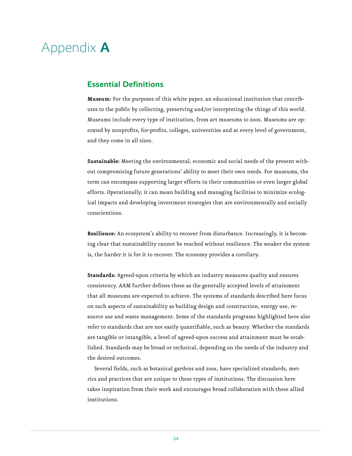# Appendix **A**

## **Essential Definitions**

**Museum:** For the purposes of this white paper, an educational institution that contributes to the public by collecting, preserving and/or interpreting the things of this world. Museums include every type of institution, from art museums to zoos. Museums are operated by nonprofits, for-profits, colleges, universities and at every level of government, and they come in all sizes.

**Sustainable:** Meeting the environmental, economic and social needs of the present without compromising future generations' ability to meet their own needs. For museums, the term can encompass supporting larger efforts in their communities or even larger global efforts. Operationally, it can mean building and managing facilities to minimize ecological impacts and developing investment strategies that are environmentally and socially conscientious.

**Resilience:** An ecosystem's ability to recover from disturbance. Increasingly, it is becoming clear that sustainability cannot be reached without resilience. The weaker the system is, the harder it is for it to recover. The economy provides a corollary.

**Standards:** Agreed-upon criteria by which an industry measures quality and ensures consistency. AAM further defines these as the generally accepted levels of attainment that all museums are expected to achieve. The systems of standards described here focus on such aspects of sustainability as building design and construction, energy use, resource use and waste management. Some of the standards programs highlighted here also refer to standards that are not easily quantifiable, such as beauty. Whether the standards are tangible or intangible, a level of agreed-upon success and attainment must be established. Standards may be broad or technical, depending on the needs of the industry and the desired outcomes.

Several fields, such as botanical gardens and zoos, have specialized standards, metrics and practices that are unique to these types of institutions. The discussion here takes inspiration from their work and encourages broad collaboration with these allied institutions.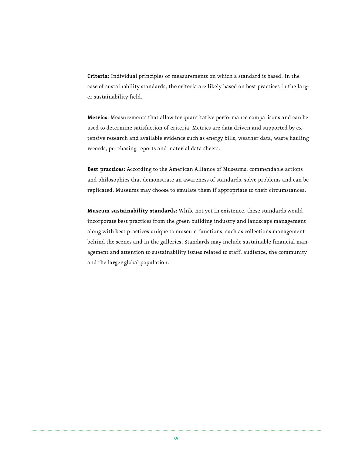**Criteria:** Individual principles or measurements on which a standard is based. In the case of sustainability standards, the criteria are likely based on best practices in the larger sustainability field.

**Metrics:** Measurements that allow for quantitative performance comparisons and can be used to determine satisfaction of criteria. Metrics are data driven and supported by extensive research and available evidence such as energy bills, weather data, waste hauling records, purchasing reports and material data sheets.

**Best practices:** According to the American Alliance of Museums, commendable actions and philosophies that demonstrate an awareness of standards, solve problems and can be replicated. Museums may choose to emulate them if appropriate to their circumstances.

**Museum sustainability standards:** While not yet in existence, these standards would incorporate best practices from the green building industry and landscape management along with best practices unique to museum functions, such as collections management behind the scenes and in the galleries. Standards may include sustainable financial management and attention to sustainability issues related to staff, audience, the community and the larger global population.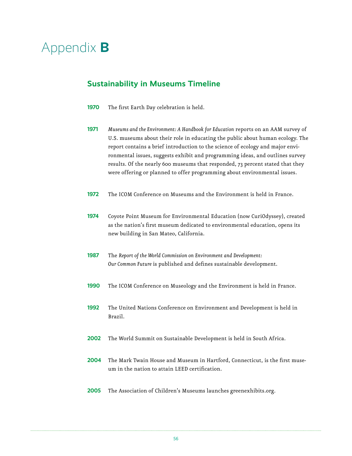# Appendix **B**

# **Sustainability in Museums Timeline**

- **1970** The first Earth Day celebration is held.
- **1971** *Museums and the Environment: A Handbook for Education* reports on an AAM survey of U.S. museums about their role in educating the public about human ecology. The report contains a brief introduction to the science of ecology and major environmental issues, suggests exhibit and programming ideas, and outlines survey results. Of the nearly 600 museums that responded, 73 percent stated that they were offering or planned to offer programming about environmental issues.
- **1972** The ICOM Conference on Museums and the Environment is held in France.
- **1974** Coyote Point Museum for Environmental Education (now CuriOdyssey), created as the nation's first museum dedicated to environmental education, opens its new building in San Mateo, California.
- **1987** The *Report of the World Commission on Environment and Development: Our Common Future* is published and defines sustainable development.
- **1990** The ICOM Conference on Museology and the Environment is held in France.
- **1992** The United Nations Conference on Environment and Development is held in Brazil.
- **2002** The World Summit on Sustainable Development is held in South Africa.
- **2004** The Mark Twain House and Museum in Hartford, Connecticut, is the first museum in the nation to attain LEED certification.
- **2005** The Association of Children's Museums launches greenexhibits.org.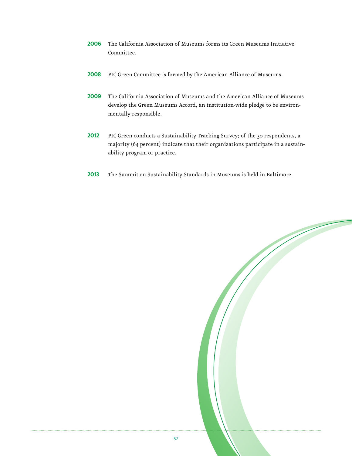- **2006** The California Association of Museums forms its Green Museums Initiative Committee.
- **2008** PIC Green Committee is formed by the American Alliance of Museums.
- **2009** The California Association of Museums and the American Alliance of Museums develop the Green Museums Accord, an institution-wide pledge to be environmentally responsible.
- **2012** PIC Green conducts a Sustainability Tracking Survey; of the 30 respondents, a majority (64 percent) indicate that their organizations participate in a sustainability program or practice.
- **2013** The Summit on Sustainability Standards in Museums is held in Baltimore.